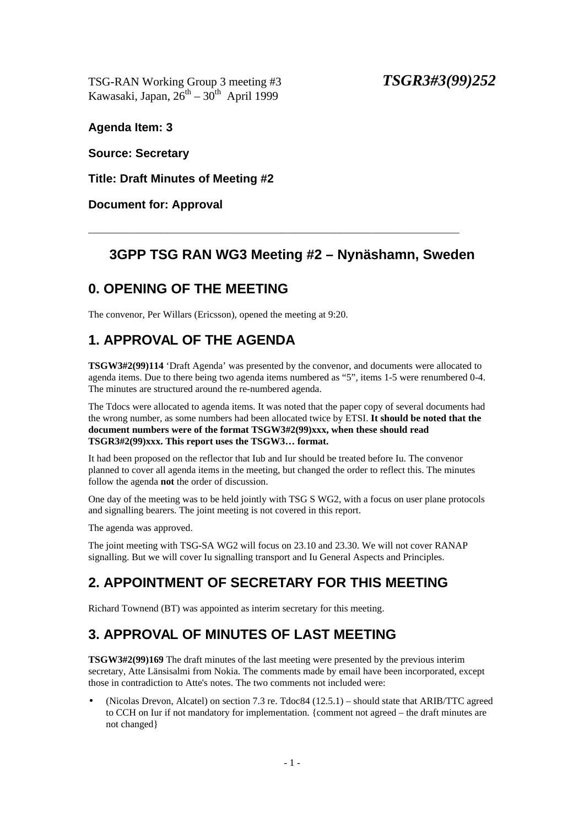TSG-RAN Working Group 3 meeting #3 *TSGR3#3(99)252* Kawasaki, Japan,  $26^{th} - 30^{th}$  April 1999

**Agenda Item: 3**

**Source: Secretary**

**Title: Draft Minutes of Meeting #2**

**Document for: Approval**

### **3GPP TSG RAN WG3 Meeting #2 – Nynäshamn, Sweden**

\_\_\_\_\_\_\_\_\_\_\_\_\_\_\_\_\_\_\_\_\_\_\_\_\_\_\_\_\_\_\_\_\_\_\_\_\_\_\_\_\_\_\_\_\_\_\_\_\_\_\_\_\_\_\_\_\_\_\_\_\_\_\_\_\_\_\_\_\_\_\_\_\_\_\_

### **0. OPENING OF THE MEETING**

The convenor, Per Willars (Ericsson), opened the meeting at 9:20.

# **1. APPROVAL OF THE AGENDA**

**TSGW3#2(99)114** 'Draft Agenda' was presented by the convenor, and documents were allocated to agenda items. Due to there being two agenda items numbered as "5", items 1-5 were renumbered 0-4. The minutes are structured around the re-numbered agenda.

The Tdocs were allocated to agenda items. It was noted that the paper copy of several documents had the wrong number, as some numbers had been allocated twice by ETSI. **It should be noted that the document numbers were of the format TSGW3#2(99)xxx, when these should read TSGR3#2(99)xxx. This report uses the TSGW3… format.**

It had been proposed on the reflector that Iub and Iur should be treated before Iu. The convenor planned to cover all agenda items in the meeting, but changed the order to reflect this. The minutes follow the agenda **not** the order of discussion.

One day of the meeting was to be held jointly with TSG S WG2, with a focus on user plane protocols and signalling bearers. The joint meeting is not covered in this report.

The agenda was approved.

The joint meeting with TSG-SA WG2 will focus on 23.10 and 23.30. We will not cover RANAP signalling. But we will cover Iu signalling transport and Iu General Aspects and Principles.

# **2. APPOINTMENT OF SECRETARY FOR THIS MEETING**

Richard Townend (BT) was appointed as interim secretary for this meeting.

### **3. APPROVAL OF MINUTES OF LAST MEETING**

**TSGW3#2(99)169** The draft minutes of the last meeting were presented by the previous interim secretary, Atte Länsisalmi from Nokia. The comments made by email have been incorporated, except those in contradiction to Atte's notes. The two comments not included were:

• (Nicolas Drevon, Alcatel) on section 7.3 re. Tdoc84 (12.5.1) – should state that ARIB/TTC agreed to CCH on Iur if not mandatory for implementation. {comment not agreed – the draft minutes are not changed}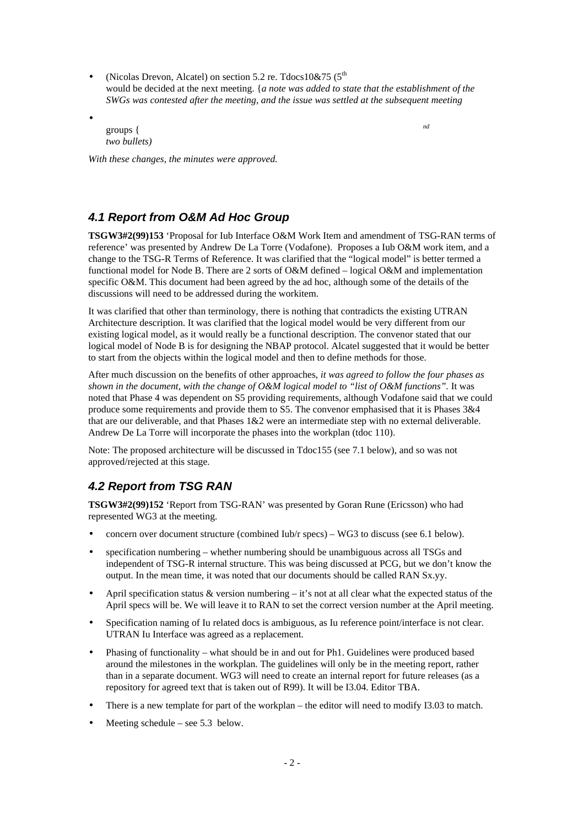- (Nicolas Drevon, Alcatel) on section 5.2 re. Tdocs  $10\&75$  ( $5<sup>th</sup>$ would be decided at the next meeting. {*a note was added to state that the establishment of the SWGs was contested after the meeting, and the issue was settled at the subsequent meeting*
- groups { *nd two bullets)*

*With these changes, the minutes were approved.*

#### *4.1 Report from O&M Ad Hoc Group*

**TSGW3#2(99)153** 'Proposal for Iub Interface O&M Work Item and amendment of TSG-RAN terms of reference' was presented by Andrew De La Torre (Vodafone). Proposes a Iub O&M work item, and a change to the TSG-R Terms of Reference. It was clarified that the "logical model" is better termed a functional model for Node B. There are 2 sorts of O&M defined – logical O&M and implementation specific O&M. This document had been agreed by the ad hoc, although some of the details of the discussions will need to be addressed during the workitem.

It was clarified that other than terminology, there is nothing that contradicts the existing UTRAN Architecture description. It was clarified that the logical model would be very different from our existing logical model, as it would really be a functional description. The convenor stated that our logical model of Node B is for designing the NBAP protocol. Alcatel suggested that it would be better to start from the objects within the logical model and then to define methods for those.

After much discussion on the benefits of other approaches, *it was agreed to follow the four phases as shown in the document, with the change of O&M logical model to "list of O&M functions".* It was noted that Phase 4 was dependent on S5 providing requirements, although Vodafone said that we could produce some requirements and provide them to S5. The convenor emphasised that it is Phases 3&4 that are our deliverable, and that Phases 1&2 were an intermediate step with no external deliverable. Andrew De La Torre will incorporate the phases into the workplan (tdoc 110).

Note: The proposed architecture will be discussed in Tdoc155 (see 7.1 below), and so was not approved/rejected at this stage.

### *4.2 Report from TSG RAN*

**TSGW3#2(99)152** 'Report from TSG-RAN' was presented by Goran Rune (Ericsson) who had represented WG3 at the meeting.

- concern over document structure (combined Iub/r specs) WG3 to discuss (see 6.1 below).
- specification numbering whether numbering should be unambiguous across all TSGs and independent of TSG-R internal structure. This was being discussed at PCG, but we don't know the output. In the mean time, it was noted that our documents should be called RAN Sx.yy.
- April specification status  $\&$  version numbering it's not at all clear what the expected status of the April specs will be. We will leave it to RAN to set the correct version number at the April meeting.
- Specification naming of Iu related docs is ambiguous, as Iu reference point/interface is not clear. UTRAN Iu Interface was agreed as a replacement.
- Phasing of functionality what should be in and out for Ph1. Guidelines were produced based around the milestones in the workplan. The guidelines will only be in the meeting report, rather than in a separate document. WG3 will need to create an internal report for future releases (as a repository for agreed text that is taken out of R99). It will be I3.04. Editor TBA.
- There is a new template for part of the workplan the editor will need to modify I3.03 to match.
- Meeting schedule see 5.3 below.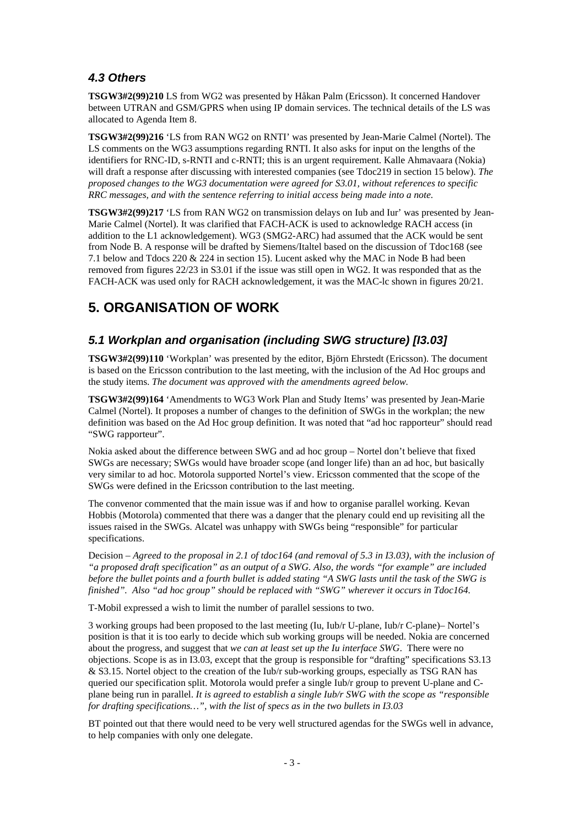### *4.3 Others*

**TSGW3#2(99)210** LS from WG2 was presented by Håkan Palm (Ericsson). It concerned Handover between UTRAN and GSM/GPRS when using IP domain services. The technical details of the LS was allocated to Agenda Item 8.

**TSGW3#2(99)216** 'LS from RAN WG2 on RNTI' was presented by Jean-Marie Calmel (Nortel). The LS comments on the WG3 assumptions regarding RNTI. It also asks for input on the lengths of the identifiers for RNC-ID, s-RNTI and c-RNTI; this is an urgent requirement. Kalle Ahmavaara (Nokia) will draft a response after discussing with interested companies (see Tdoc219 in section 15 below). *The proposed changes to the WG3 documentation were agreed for S3.01, without references to specific RRC messages, and with the sentence referring to initial access being made into a note.*

**TSGW3#2(99)217** 'LS from RAN WG2 on transmission delays on Iub and Iur' was presented by Jean-Marie Calmel (Nortel). It was clarified that FACH-ACK is used to acknowledge RACH access (in addition to the L1 acknowledgement). WG3 (SMG2-ARC) had assumed that the ACK would be sent from Node B. A response will be drafted by Siemens/Italtel based on the discussion of Tdoc168 (see 7.1 below and Tdocs 220 & 224 in section 15). Lucent asked why the MAC in Node B had been removed from figures 22/23 in S3.01 if the issue was still open in WG2. It was responded that as the FACH-ACK was used only for RACH acknowledgement, it was the MAC-lc shown in figures 20/21.

### **5. ORGANISATION OF WORK**

### *5.1 Workplan and organisation (including SWG structure) [I3.03]*

**TSGW3#2(99)110** 'Workplan' was presented by the editor, Björn Ehrstedt (Ericsson). The document is based on the Ericsson contribution to the last meeting, with the inclusion of the Ad Hoc groups and the study items. *The document was approved with the amendments agreed below.*

**TSGW3#2(99)164** 'Amendments to WG3 Work Plan and Study Items' was presented by Jean-Marie Calmel (Nortel). It proposes a number of changes to the definition of SWGs in the workplan; the new definition was based on the Ad Hoc group definition. It was noted that "ad hoc rapporteur" should read "SWG rapporteur".

Nokia asked about the difference between SWG and ad hoc group – Nortel don't believe that fixed SWGs are necessary; SWGs would have broader scope (and longer life) than an ad hoc, but basically very similar to ad hoc. Motorola supported Nortel's view. Ericsson commented that the scope of the SWGs were defined in the Ericsson contribution to the last meeting.

The convenor commented that the main issue was if and how to organise parallel working. Kevan Hobbis (Motorola) commented that there was a danger that the plenary could end up revisiting all the issues raised in the SWGs. Alcatel was unhappy with SWGs being "responsible" for particular specifications.

Decision – *Agreed to the proposal in 2.1 of tdoc164 (and removal of 5.3 in I3.03), with the inclusion of "a proposed draft specification" as an output of a SWG. Also, the words "for example" are included before the bullet points and a fourth bullet is added stating "A SWG lasts until the task of the SWG is finished". Also "ad hoc group" should be replaced with "SWG" wherever it occurs in Tdoc164.*

T-Mobil expressed a wish to limit the number of parallel sessions to two.

3 working groups had been proposed to the last meeting (Iu, Iub/r U-plane, Iub/r C-plane)– Nortel's position is that it is too early to decide which sub working groups will be needed. Nokia are concerned about the progress, and suggest that *we can at least set up the Iu interface SWG*. There were no objections. Scope is as in I3.03, except that the group is responsible for "drafting" specifications S3.13 & S3.15. Nortel object to the creation of the Iub/r sub-working groups, especially as TSG RAN has queried our specification split. Motorola would prefer a single Iub/r group to prevent U-plane and Cplane being run in parallel. *It is agreed to establish a single Iub/r SWG with the scope as "responsible for drafting specifications…", with the list of specs as in the two bullets in I3.03*

BT pointed out that there would need to be very well structured agendas for the SWGs well in advance, to help companies with only one delegate.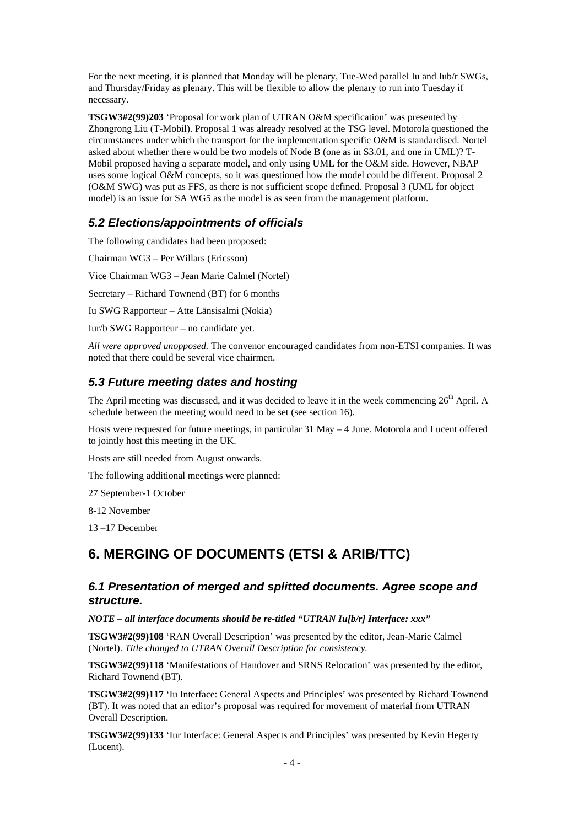For the next meeting, it is planned that Monday will be plenary, Tue-Wed parallel Iu and Iub/r SWGs, and Thursday/Friday as plenary. This will be flexible to allow the plenary to run into Tuesday if necessary.

**TSGW3#2(99)203** 'Proposal for work plan of UTRAN O&M specification' was presented by Zhongrong Liu (T-Mobil). Proposal 1 was already resolved at the TSG level. Motorola questioned the circumstances under which the transport for the implementation specific O&M is standardised. Nortel asked about whether there would be two models of Node B (one as in S3.01, and one in UML)? T-Mobil proposed having a separate model, and only using UML for the O&M side. However, NBAP uses some logical O&M concepts, so it was questioned how the model could be different. Proposal 2 (O&M SWG) was put as FFS, as there is not sufficient scope defined. Proposal 3 (UML for object model) is an issue for SA WG5 as the model is as seen from the management platform.

### *5.2 Elections/appointments of officials*

The following candidates had been proposed:

Chairman WG3 – Per Willars (Ericsson)

Vice Chairman WG3 – Jean Marie Calmel (Nortel)

Secretary – Richard Townend (BT) for 6 months

Iu SWG Rapporteur – Atte Länsisalmi (Nokia)

Iur/b SWG Rapporteur – no candidate yet.

*All were approved unopposed.* The convenor encouraged candidates from non-ETSI companies. It was noted that there could be several vice chairmen.

#### *5.3 Future meeting dates and hosting*

The April meeting was discussed, and it was decided to leave it in the week commencing  $26<sup>th</sup>$  April. A schedule between the meeting would need to be set (see section 16).

Hosts were requested for future meetings, in particular 31 May – 4 June. Motorola and Lucent offered to jointly host this meeting in the UK.

Hosts are still needed from August onwards.

The following additional meetings were planned:

27 September-1 October

8-12 November

13 –17 December

### **6. MERGING OF DOCUMENTS (ETSI & ARIB/TTC)**

#### *6.1 Presentation of merged and splitted documents. Agree scope and structure.*

*NOTE – all interface documents should be re-titled "UTRAN Iu[b/r] Interface: xxx"*

**TSGW3#2(99)108** 'RAN Overall Description' was presented by the editor, Jean-Marie Calmel (Nortel). *Title changed to UTRAN Overall Description for consistency.*

**TSGW3#2(99)118** 'Manifestations of Handover and SRNS Relocation' was presented by the editor, Richard Townend (BT).

**TSGW3#2(99)117** 'Iu Interface: General Aspects and Principles' was presented by Richard Townend (BT). It was noted that an editor's proposal was required for movement of material from UTRAN Overall Description.

**TSGW3#2(99)133** 'Iur Interface: General Aspects and Principles' was presented by Kevin Hegerty (Lucent).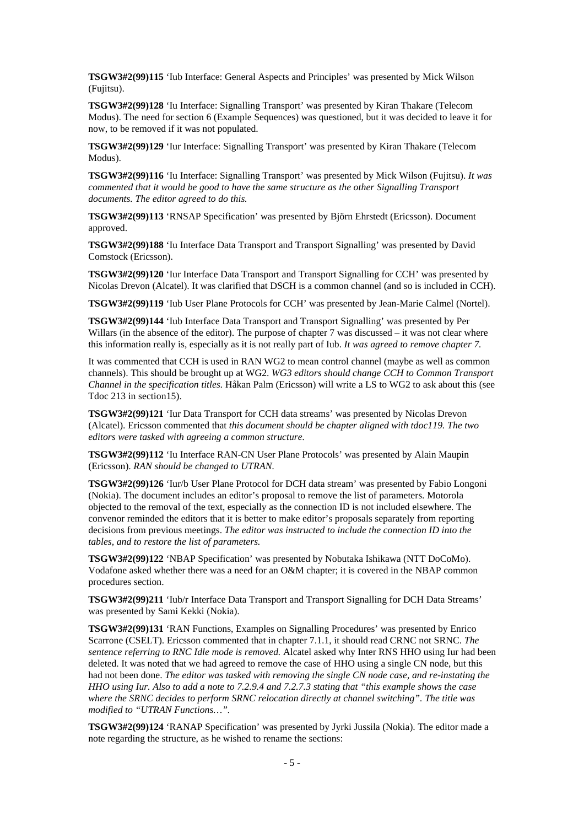**TSGW3#2(99)115** 'Iub Interface: General Aspects and Principles' was presented by Mick Wilson (Fujitsu).

**TSGW3#2(99)128** 'Iu Interface: Signalling Transport' was presented by Kiran Thakare (Telecom Modus). The need for section 6 (Example Sequences) was questioned, but it was decided to leave it for now, to be removed if it was not populated.

**TSGW3#2(99)129** 'Iur Interface: Signalling Transport' was presented by Kiran Thakare (Telecom Modus).

**TSGW3#2(99)116** 'Iu Interface: Signalling Transport' was presented by Mick Wilson (Fujitsu). *It was commented that it would be good to have the same structure as the other Signalling Transport documents. The editor agreed to do this.*

**TSGW3#2(99)113** 'RNSAP Specification' was presented by Björn Ehrstedt (Ericsson). Document approved.

**TSGW3#2(99)188** 'Iu Interface Data Transport and Transport Signalling' was presented by David Comstock (Ericsson).

**TSGW3#2(99)120** 'Iur Interface Data Transport and Transport Signalling for CCH' was presented by Nicolas Drevon (Alcatel). It was clarified that DSCH is a common channel (and so is included in CCH).

**TSGW3#2(99)119** 'Iub User Plane Protocols for CCH' was presented by Jean-Marie Calmel (Nortel).

**TSGW3#2(99)144** 'Iub Interface Data Transport and Transport Signalling' was presented by Per Willars (in the absence of the editor). The purpose of chapter 7 was discussed – it was not clear where this information really is, especially as it is not really part of Iub. *It was agreed to remove chapter 7.*

It was commented that CCH is used in RAN WG2 to mean control channel (maybe as well as common channels). This should be brought up at WG2. *WG3 editors should change CCH to Common Transport Channel in the specification titles.* Håkan Palm (Ericsson) will write a LS to WG2 to ask about this (see Tdoc 213 in section15).

**TSGW3#2(99)121** 'Iur Data Transport for CCH data streams' was presented by Nicolas Drevon (Alcatel). Ericsson commented that *this document should be chapter aligned with tdoc119. The two editors were tasked with agreeing a common structure.*

**TSGW3#2(99)112** 'Iu Interface RAN-CN User Plane Protocols' was presented by Alain Maupin (Ericsson). *RAN should be changed to UTRAN.*

**TSGW3#2(99)126** 'Iur/b User Plane Protocol for DCH data stream' was presented by Fabio Longoni (Nokia). The document includes an editor's proposal to remove the list of parameters. Motorola objected to the removal of the text, especially as the connection ID is not included elsewhere. The convenor reminded the editors that it is better to make editor's proposals separately from reporting decisions from previous meetings. *The editor was instructed to include the connection ID into the tables, and to restore the list of parameters.*

**TSGW3#2(99)122** 'NBAP Specification' was presented by Nobutaka Ishikawa (NTT DoCoMo). Vodafone asked whether there was a need for an O&M chapter; it is covered in the NBAP common procedures section.

**TSGW3#2(99)211** 'Iub/r Interface Data Transport and Transport Signalling for DCH Data Streams' was presented by Sami Kekki (Nokia).

**TSGW3#2(99)131** 'RAN Functions, Examples on Signalling Procedures' was presented by Enrico Scarrone (CSELT). Ericsson commented that in chapter 7.1.1, it should read CRNC not SRNC. *The sentence referring to RNC Idle mode is removed.* Alcatel asked why Inter RNS HHO using Iur had been deleted. It was noted that we had agreed to remove the case of HHO using a single CN node, but this had not been done. *The editor was tasked with removing the single CN node case, and re-instating the HHO using Iur. Also to add a note to 7.2.9.4 and 7.2.7.3 stating that "this example shows the case where the SRNC decides to perform SRNC relocation directly at channel switching". The title was modified to "UTRAN Functions…".*

**TSGW3#2(99)124** 'RANAP Specification' was presented by Jyrki Jussila (Nokia). The editor made a note regarding the structure, as he wished to rename the sections: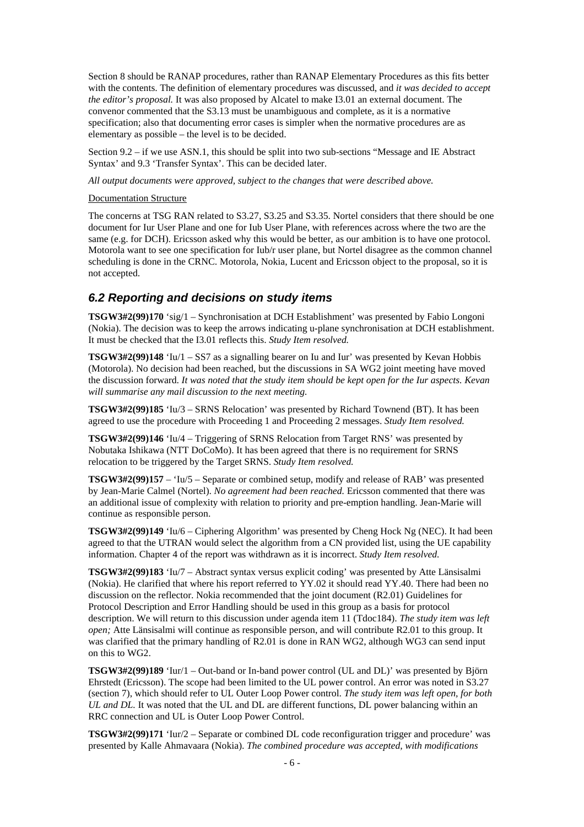Section 8 should be RANAP procedures, rather than RANAP Elementary Procedures as this fits better with the contents. The definition of elementary procedures was discussed, and *it was decided to accept the editor's proposal.* It was also proposed by Alcatel to make I3.01 an external document. The convenor commented that the S3.13 must be unambiguous and complete, as it is a normative specification; also that documenting error cases is simpler when the normative procedures are as elementary as possible – the level is to be decided.

Section 9.2 – if we use ASN.1, this should be split into two sub-sections "Message and IE Abstract Syntax' and 9.3 'Transfer Syntax'. This can be decided later.

*All output documents were approved, subject to the changes that were described above.*

#### Documentation Structure

The concerns at TSG RAN related to S3.27, S3.25 and S3.35. Nortel considers that there should be one document for Iur User Plane and one for Iub User Plane, with references across where the two are the same (e.g. for DCH). Ericsson asked why this would be better, as our ambition is to have one protocol. Motorola want to see one specification for Iub/r user plane, but Nortel disagree as the common channel scheduling is done in the CRNC. Motorola, Nokia, Lucent and Ericsson object to the proposal, so it is not accepted.

#### *6.2 Reporting and decisions on study items*

**TSGW3#2(99)170** 'sig/1 – Synchronisation at DCH Establishment' was presented by Fabio Longoni (Nokia). The decision was to keep the arrows indicating u-plane synchronisation at DCH establishment. It must be checked that the I3.01 reflects this. *Study Item resolved.*

**TSGW3#2(99)148** 'Iu/1 – SS7 as a signalling bearer on Iu and Iur' was presented by Kevan Hobbis (Motorola). No decision had been reached, but the discussions in SA WG2 joint meeting have moved the discussion forward. *It was noted that the study item should be kept open for the Iur aspects. Kevan will summarise any mail discussion to the next meeting.*

**TSGW3#2(99)185** 'Iu/3 – SRNS Relocation' was presented by Richard Townend (BT). It has been agreed to use the procedure with Proceeding 1 and Proceeding 2 messages. *Study Item resolved.*

**TSGW3#2(99)146** 'Iu/4 – Triggering of SRNS Relocation from Target RNS' was presented by Nobutaka Ishikawa (NTT DoCoMo). It has been agreed that there is no requirement for SRNS relocation to be triggered by the Target SRNS. *Study Item resolved.*

**TSGW3#2(99)157** – 'Iu/5 – Separate or combined setup, modify and release of RAB' was presented by Jean-Marie Calmel (Nortel). *No agreement had been reached.* Ericsson commented that there was an additional issue of complexity with relation to priority and pre-emption handling. Jean-Marie will continue as responsible person.

**TSGW3#2(99)149** 'Iu/6 – Ciphering Algorithm' was presented by Cheng Hock Ng (NEC). It had been agreed to that the UTRAN would select the algorithm from a CN provided list, using the UE capability information. Chapter 4 of the report was withdrawn as it is incorrect. *Study Item resolved.*

**TSGW3#2(99)183** 'Iu/7 – Abstract syntax versus explicit coding' was presented by Atte Länsisalmi (Nokia). He clarified that where his report referred to YY.02 it should read YY.40. There had been no discussion on the reflector. Nokia recommended that the joint document (R2.01) Guidelines for Protocol Description and Error Handling should be used in this group as a basis for protocol description. We will return to this discussion under agenda item 11 (Tdoc184). *The study item was left open;* Atte Länsisalmi will continue as responsible person, and will contribute R2.01 to this group. It was clarified that the primary handling of R2.01 is done in RAN WG2, although WG3 can send input on this to WG2.

**TSGW3#2(99)189** 'Iur/1 – Out-band or In-band power control (UL and DL)' was presented by Björn Ehrstedt (Ericsson). The scope had been limited to the UL power control. An error was noted in S3.27 (section 7), which should refer to UL Outer Loop Power control. *The study item was left open, for both UL and DL.* It was noted that the UL and DL are different functions, DL power balancing within an RRC connection and UL is Outer Loop Power Control.

**TSGW3#2(99)171** 'Iur/2 – Separate or combined DL code reconfiguration trigger and procedure' was presented by Kalle Ahmavaara (Nokia). *The combined procedure was accepted, with modifications*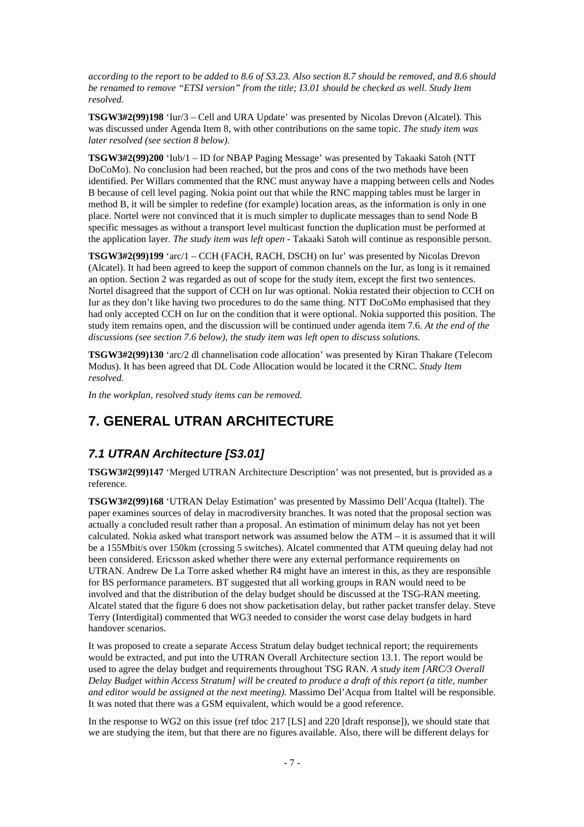*according to the report to be added to 8.6 of S3.23. Also section 8.7 should be removed, and 8.6 should be renamed to remove "ETSI version" from the title; I3.01 should be checked as well. Study Item resolved.*

**TSGW3#2(99)198** 'Iur/3 – Cell and URA Update' was presented by Nicolas Drevon (Alcatel). This was discussed under Agenda Item 8, with other contributions on the same topic. *The study item was later resolved (see section 8 below).*

**TSGW3#2(99)200** 'Iub/1 – ID for NBAP Paging Message' was presented by Takaaki Satoh (NTT DoCoMo). No conclusion had been reached, but the pros and cons of the two methods have been identified. Per Willars commented that the RNC must anyway have a mapping between cells and Nodes B because of cell level paging. Nokia point out that while the RNC mapping tables must be larger in method B, it will be simpler to redefine (for example) location areas, as the information is only in one place. Nortel were not convinced that it is much simpler to duplicate messages than to send Node B specific messages as without a transport level multicast function the duplication must be performed at the application layer. *The study item was left open* - Takaaki Satoh will continue as responsible person.

**TSGW3#2(99)199** 'arc/1 – CCH (FACH, RACH, DSCH) on Iur' was presented by Nicolas Drevon (Alcatel). It had been agreed to keep the support of common channels on the Iur, as long is it remained an option. Section 2 was regarded as out of scope for the study item, except the first two sentences. Nortel disagreed that the support of CCH on Iur was optional. Nokia restated their objection to CCH on Iur as they don't like having two procedures to do the same thing. NTT DoCoMo emphasised that they had only accepted CCH on Iur on the condition that it were optional. Nokia supported this position. The study item remains open, and the discussion will be continued under agenda item 7.6. *At the end of the discussions (see section 7.6 below), the study item was left open to discuss solutions.*

**TSGW3#2(99)130** 'arc/2 dl channelisation code allocation' was presented by Kiran Thakare (Telecom Modus). It has been agreed that DL Code Allocation would be located it the CRNC. *Study Item resolved.*

*In the workplan, resolved study items can be removed.*

### **7. GENERAL UTRAN ARCHITECTURE**

#### *7.1 UTRAN Architecture [S3.01]*

**TSGW3#2(99)147** 'Merged UTRAN Architecture Description' was not presented, but is provided as a reference.

**TSGW3#2(99)168** 'UTRAN Delay Estimation' was presented by Massimo Dell'Acqua (Italtel). The paper examines sources of delay in macrodiversity branches. It was noted that the proposal section was actually a concluded result rather than a proposal. An estimation of minimum delay has not yet been calculated. Nokia asked what transport network was assumed below the ATM – it is assumed that it will be a 155Mbit/s over 150km (crossing 5 switches). Alcatel commented that ATM queuing delay had not been considered. Ericsson asked whether there were any external performance requirements on UTRAN. Andrew De La Torre asked whether R4 might have an interest in this, as they are responsible for BS performance parameters. BT suggested that all working groups in RAN would need to be involved and that the distribution of the delay budget should be discussed at the TSG-RAN meeting. Alcatel stated that the figure 6 does not show packetisation delay, but rather packet transfer delay. Steve Terry (Interdigital) commented that WG3 needed to consider the worst case delay budgets in hard handover scenarios.

It was proposed to create a separate Access Stratum delay budget technical report; the requirements would be extracted, and put into the UTRAN Overall Architecture section 13.1. The report would be used to agree the delay budget and requirements throughout TSG RAN. *A study item [ARC/3 Overall Delay Budget within Access Stratum] will be created to produce a draft of this report (a title, number and editor would be assigned at the next meeting).* Massimo Del'Acqua from Italtel will be responsible. It was noted that there was a GSM equivalent, which would be a good reference.

In the response to WG2 on this issue (ref tdoc 217 [LS] and 220 [draft response]), we should state that we are studying the item, but that there are no figures available. Also, there will be different delays for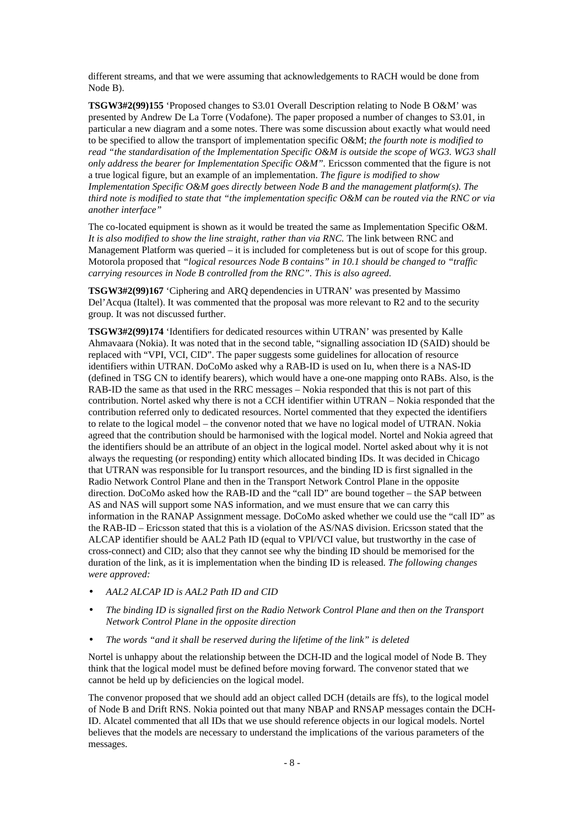different streams, and that we were assuming that acknowledgements to RACH would be done from Node B).

**TSGW3#2(99)155** 'Proposed changes to S3.01 Overall Description relating to Node B O&M' was presented by Andrew De La Torre (Vodafone). The paper proposed a number of changes to S3.01, in particular a new diagram and a some notes. There was some discussion about exactly what would need to be specified to allow the transport of implementation specific O&M; *the fourth note is modified to read "the standardisation of the Implementation Specific O&M is outside the scope of WG3. WG3 shall only address the bearer for Implementation Specific O&M".* Ericsson commented that the figure is not a true logical figure, but an example of an implementation. *The figure is modified to show Implementation Specific O&M goes directly between Node B and the management platform(s). The third note is modified to state that "the implementation specific O&M can be routed via the RNC or via another interface"*

The co-located equipment is shown as it would be treated the same as Implementation Specific O&M. *It is also modified to show the line straight, rather than via RNC.* The link between RNC and Management Platform was queried – it is included for completeness but is out of scope for this group. Motorola proposed that *"logical resources Node B contains" in 10.1 should be changed to "traffic carrying resources in Node B controlled from the RNC". This is also agreed.*

**TSGW3#2(99)167** 'Ciphering and ARQ dependencies in UTRAN' was presented by Massimo Del'Acqua (Italtel). It was commented that the proposal was more relevant to R2 and to the security group. It was not discussed further.

**TSGW3#2(99)174** 'Identifiers for dedicated resources within UTRAN' was presented by Kalle Ahmavaara (Nokia). It was noted that in the second table, "signalling association ID (SAID) should be replaced with "VPI, VCI, CID". The paper suggests some guidelines for allocation of resource identifiers within UTRAN. DoCoMo asked why a RAB-ID is used on Iu, when there is a NAS-ID (defined in TSG CN to identify bearers), which would have a one-one mapping onto RABs. Also, is the RAB-ID the same as that used in the RRC messages – Nokia responded that this is not part of this contribution. Nortel asked why there is not a CCH identifier within UTRAN – Nokia responded that the contribution referred only to dedicated resources. Nortel commented that they expected the identifiers to relate to the logical model – the convenor noted that we have no logical model of UTRAN. Nokia agreed that the contribution should be harmonised with the logical model. Nortel and Nokia agreed that the identifiers should be an attribute of an object in the logical model. Nortel asked about why it is not always the requesting (or responding) entity which allocated binding IDs. It was decided in Chicago that UTRAN was responsible for Iu transport resources, and the binding ID is first signalled in the Radio Network Control Plane and then in the Transport Network Control Plane in the opposite direction. DoCoMo asked how the RAB-ID and the "call ID" are bound together – the SAP between AS and NAS will support some NAS information, and we must ensure that we can carry this information in the RANAP Assignment message. DoCoMo asked whether we could use the "call ID" as the RAB-ID – Ericsson stated that this is a violation of the AS/NAS division. Ericsson stated that the ALCAP identifier should be AAL2 Path ID (equal to VPI/VCI value, but trustworthy in the case of cross-connect) and CID; also that they cannot see why the binding ID should be memorised for the duration of the link, as it is implementation when the binding ID is released. *The following changes were approved:*

- *· AAL2 ALCAP ID is AAL2 Path ID and CID*
- *· The binding ID is signalled first on the Radio Network Control Plane and then on the Transport Network Control Plane in the opposite direction*
- *· The words "and it shall be reserved during the lifetime of the link" is deleted*

Nortel is unhappy about the relationship between the DCH-ID and the logical model of Node B. They think that the logical model must be defined before moving forward. The convenor stated that we cannot be held up by deficiencies on the logical model.

The convenor proposed that we should add an object called DCH (details are ffs), to the logical model of Node B and Drift RNS. Nokia pointed out that many NBAP and RNSAP messages contain the DCH-ID. Alcatel commented that all IDs that we use should reference objects in our logical models. Nortel believes that the models are necessary to understand the implications of the various parameters of the messages.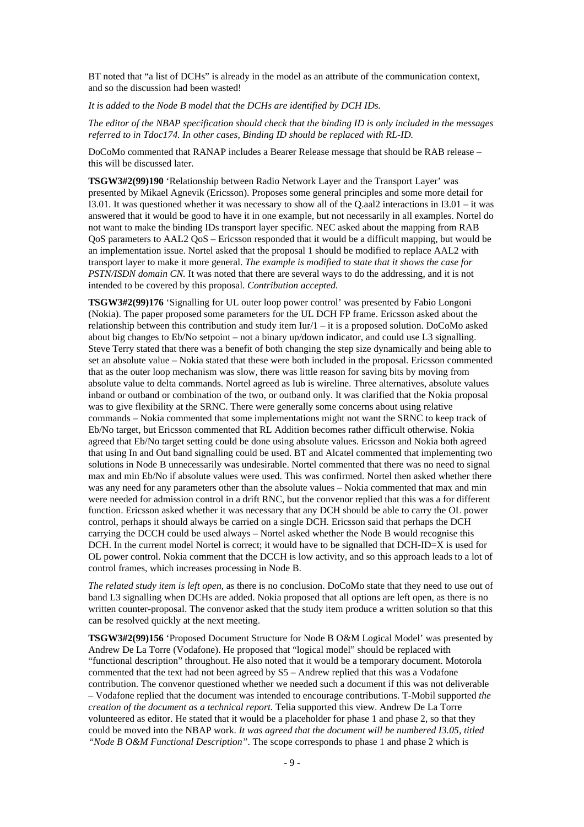BT noted that "a list of DCHs" is already in the model as an attribute of the communication context, and so the discussion had been wasted!

*It is added to the Node B model that the DCHs are identified by DCH IDs.*

*The editor of the NBAP specification should check that the binding ID is only included in the messages referred to in Tdoc174. In other cases, Binding ID should be replaced with RL-ID.*

DoCoMo commented that RANAP includes a Bearer Release message that should be RAB release – this will be discussed later.

**TSGW3#2(99)190** 'Relationship between Radio Network Layer and the Transport Layer' was presented by Mikael Agnevik (Ericsson). Proposes some general principles and some more detail for I3.01. It was questioned whether it was necessary to show all of the Q.aal2 interactions in I3.01 – it was answered that it would be good to have it in one example, but not necessarily in all examples. Nortel do not want to make the binding IDs transport layer specific. NEC asked about the mapping from RAB QoS parameters to AAL2 QoS – Ericsson responded that it would be a difficult mapping, but would be an implementation issue. Nortel asked that the proposal 1 should be modified to replace AAL2 with transport layer to make it more general. *The example is modified to state that it shows the case for PSTN/ISDN domain CN.* It was noted that there are several ways to do the addressing, and it is not intended to be covered by this proposal. *Contribution accepted.*

**TSGW3#2(99)176** 'Signalling for UL outer loop power control' was presented by Fabio Longoni (Nokia). The paper proposed some parameters for the UL DCH FP frame. Ericsson asked about the relationship between this contribution and study item Iur/1 – it is a proposed solution. DoCoMo asked about big changes to Eb/No setpoint – not a binary up/down indicator, and could use L3 signalling. Steve Terry stated that there was a benefit of both changing the step size dynamically and being able to set an absolute value – Nokia stated that these were both included in the proposal. Ericsson commented that as the outer loop mechanism was slow, there was little reason for saving bits by moving from absolute value to delta commands. Nortel agreed as Iub is wireline. Three alternatives, absolute values inband or outband or combination of the two, or outband only. It was clarified that the Nokia proposal was to give flexibility at the SRNC. There were generally some concerns about using relative commands – Nokia commented that some implementations might not want the SRNC to keep track of Eb/No target, but Ericsson commented that RL Addition becomes rather difficult otherwise. Nokia agreed that Eb/No target setting could be done using absolute values. Ericsson and Nokia both agreed that using In and Out band signalling could be used. BT and Alcatel commented that implementing two solutions in Node B unnecessarily was undesirable. Nortel commented that there was no need to signal max and min Eb/No if absolute values were used. This was confirmed. Nortel then asked whether there was any need for any parameters other than the absolute values – Nokia commented that max and min were needed for admission control in a drift RNC, but the convenor replied that this was a for different function. Ericsson asked whether it was necessary that any DCH should be able to carry the OL power control, perhaps it should always be carried on a single DCH. Ericsson said that perhaps the DCH carrying the DCCH could be used always – Nortel asked whether the Node B would recognise this DCH. In the current model Nortel is correct; it would have to be signalled that DCH-ID=X is used for OL power control. Nokia comment that the DCCH is low activity, and so this approach leads to a lot of control frames, which increases processing in Node B.

*The related study item is left open*, as there is no conclusion. DoCoMo state that they need to use out of band L3 signalling when DCHs are added. Nokia proposed that all options are left open, as there is no written counter-proposal. The convenor asked that the study item produce a written solution so that this can be resolved quickly at the next meeting.

**TSGW3#2(99)156** 'Proposed Document Structure for Node B O&M Logical Model' was presented by Andrew De La Torre (Vodafone). He proposed that "logical model" should be replaced with "functional description" throughout. He also noted that it would be a temporary document. Motorola commented that the text had not been agreed by S5 – Andrew replied that this was a Vodafone contribution. The convenor questioned whether we needed such a document if this was not deliverable – Vodafone replied that the document was intended to encourage contributions. T-Mobil supported *the creation of the document as a technical report.* Telia supported this view. Andrew De La Torre volunteered as editor. He stated that it would be a placeholder for phase 1 and phase 2, so that they could be moved into the NBAP work. *It was agreed that the document will be numbered I3.05, titled "Node B O&M Functional Description"*. The scope corresponds to phase 1 and phase 2 which is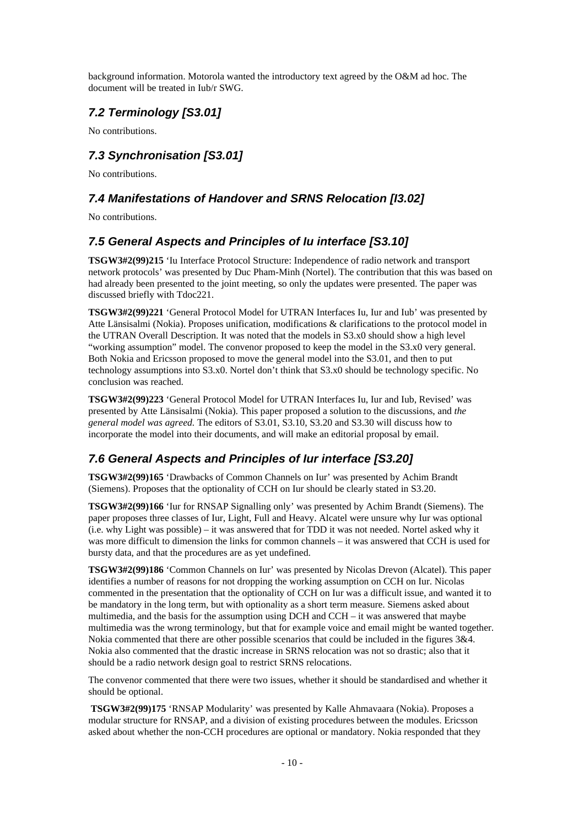background information. Motorola wanted the introductory text agreed by the O&M ad hoc. The document will be treated in Iub/r SWG.

### *7.2 Terminology [S3.01]*

No contributions.

### *7.3 Synchronisation [S3.01]*

No contributions.

### *7.4 Manifestations of Handover and SRNS Relocation [I3.02]*

No contributions.

### *7.5 General Aspects and Principles of Iu interface [S3.10]*

**TSGW3#2(99)215** 'Iu Interface Protocol Structure: Independence of radio network and transport network protocols' was presented by Duc Pham-Minh (Nortel). The contribution that this was based on had already been presented to the joint meeting, so only the updates were presented. The paper was discussed briefly with Tdoc221.

**TSGW3#2(99)221** 'General Protocol Model for UTRAN Interfaces Iu, Iur and Iub' was presented by Atte Länsisalmi (Nokia). Proposes unification, modifications & clarifications to the protocol model in the UTRAN Overall Description. It was noted that the models in S3.x0 should show a high level "working assumption" model. The convenor proposed to keep the model in the S3.x0 very general. Both Nokia and Ericsson proposed to move the general model into the S3.01, and then to put technology assumptions into S3.x0. Nortel don't think that S3.x0 should be technology specific. No conclusion was reached.

**TSGW3#2(99)223** 'General Protocol Model for UTRAN Interfaces Iu, Iur and Iub, Revised' was presented by Atte Länsisalmi (Nokia). This paper proposed a solution to the discussions, and *the general model was agreed.* The editors of S3.01, S3.10, S3.20 and S3.30 will discuss how to incorporate the model into their documents, and will make an editorial proposal by email.

### *7.6 General Aspects and Principles of Iur interface [S3.20]*

**TSGW3#2(99)165** 'Drawbacks of Common Channels on Iur' was presented by Achim Brandt (Siemens). Proposes that the optionality of CCH on Iur should be clearly stated in S3.20.

**TSGW3#2(99)166** 'Iur for RNSAP Signalling only' was presented by Achim Brandt (Siemens). The paper proposes three classes of Iur, Light, Full and Heavy. Alcatel were unsure why Iur was optional (i.e. why Light was possible) – it was answered that for TDD it was not needed. Nortel asked why it was more difficult to dimension the links for common channels – it was answered that CCH is used for bursty data, and that the procedures are as yet undefined.

**TSGW3#2(99)186** 'Common Channels on Iur' was presented by Nicolas Drevon (Alcatel). This paper identifies a number of reasons for not dropping the working assumption on CCH on Iur. Nicolas commented in the presentation that the optionality of CCH on Iur was a difficult issue, and wanted it to be mandatory in the long term, but with optionality as a short term measure. Siemens asked about multimedia, and the basis for the assumption using DCH and CCH – it was answered that maybe multimedia was the wrong terminology, but that for example voice and email might be wanted together. Nokia commented that there are other possible scenarios that could be included in the figures 3&4. Nokia also commented that the drastic increase in SRNS relocation was not so drastic; also that it should be a radio network design goal to restrict SRNS relocations.

The convenor commented that there were two issues, whether it should be standardised and whether it should be optional.

 **TSGW3#2(99)175** 'RNSAP Modularity' was presented by Kalle Ahmavaara (Nokia). Proposes a modular structure for RNSAP, and a division of existing procedures between the modules. Ericsson asked about whether the non-CCH procedures are optional or mandatory. Nokia responded that they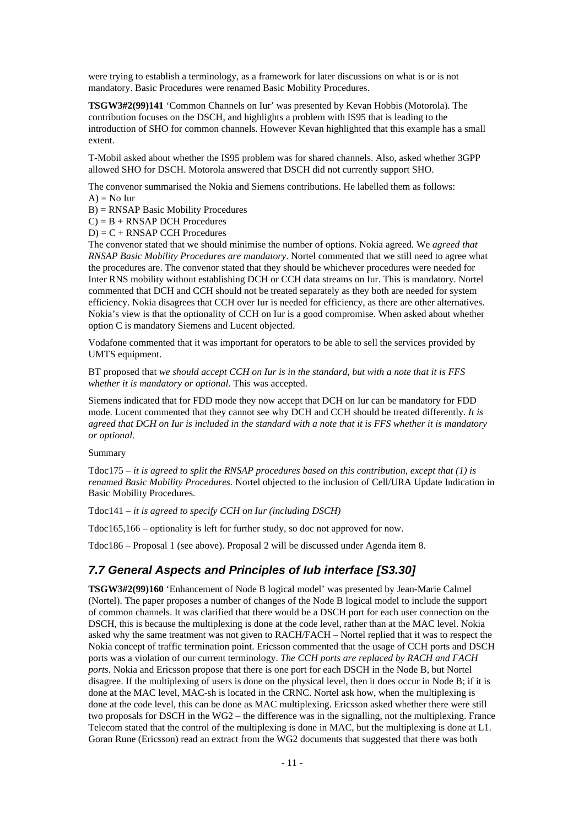were trying to establish a terminology, as a framework for later discussions on what is or is not mandatory. Basic Procedures were renamed Basic Mobility Procedures.

**TSGW3#2(99)141** 'Common Channels on Iur' was presented by Kevan Hobbis (Motorola). The contribution focuses on the DSCH, and highlights a problem with IS95 that is leading to the introduction of SHO for common channels. However Kevan highlighted that this example has a small extent.

T-Mobil asked about whether the IS95 problem was for shared channels. Also, asked whether 3GPP allowed SHO for DSCH. Motorola answered that DSCH did not currently support SHO.

The convenor summarised the Nokia and Siemens contributions. He labelled them as follows:  $A$ ) = No Iur

B) = RNSAP Basic Mobility Procedures

 $C$ ) = B + RNSAP DCH Procedures

 $D$ ) =  $C$  + RNSAP CCH Procedures

The convenor stated that we should minimise the number of options. Nokia agreed. We *agreed that RNSAP Basic Mobility Procedures are mandatory*. Nortel commented that we still need to agree what the procedures are. The convenor stated that they should be whichever procedures were needed for Inter RNS mobility without establishing DCH or CCH data streams on Iur. This is mandatory. Nortel commented that DCH and CCH should not be treated separately as they both are needed for system efficiency. Nokia disagrees that CCH over Iur is needed for efficiency, as there are other alternatives. Nokia's view is that the optionality of CCH on Iur is a good compromise. When asked about whether option C is mandatory Siemens and Lucent objected.

Vodafone commented that it was important for operators to be able to sell the services provided by UMTS equipment.

BT proposed that *we should accept CCH on Iur is in the standard, but with a note that it is FFS whether it is mandatory or optional.* This was accepted.

Siemens indicated that for FDD mode they now accept that DCH on Iur can be mandatory for FDD mode. Lucent commented that they cannot see why DCH and CCH should be treated differently. *It is agreed that DCH on Iur is included in the standard with a note that it is FFS whether it is mandatory or optional.*

Summary

Tdoc175 – *it is agreed to split the RNSAP procedures based on this contribution, except that (1) is renamed Basic Mobility Procedures.* Nortel objected to the inclusion of Cell/URA Update Indication in Basic Mobility Procedures.

Tdoc141 – *it is agreed to specify CCH on Iur (including DSCH)*

Tdoc165,166 – optionality is left for further study, so doc not approved for now.

Tdoc186 – Proposal 1 (see above). Proposal 2 will be discussed under Agenda item 8.

#### *7.7 General Aspects and Principles of Iub interface [S3.30]*

**TSGW3#2(99)160** 'Enhancement of Node B logical model' was presented by Jean-Marie Calmel (Nortel). The paper proposes a number of changes of the Node B logical model to include the support of common channels. It was clarified that there would be a DSCH port for each user connection on the DSCH, this is because the multiplexing is done at the code level, rather than at the MAC level. Nokia asked why the same treatment was not given to RACH/FACH – Nortel replied that it was to respect the Nokia concept of traffic termination point. Ericsson commented that the usage of CCH ports and DSCH ports was a violation of our current terminology. *The CCH ports are replaced by RACH and FACH ports*. Nokia and Ericsson propose that there is one port for each DSCH in the Node B, but Nortel disagree. If the multiplexing of users is done on the physical level, then it does occur in Node B; if it is done at the MAC level, MAC-sh is located in the CRNC. Nortel ask how, when the multiplexing is done at the code level, this can be done as MAC multiplexing. Ericsson asked whether there were still two proposals for DSCH in the WG2 – the difference was in the signalling, not the multiplexing. France Telecom stated that the control of the multiplexing is done in MAC, but the multiplexing is done at L1. Goran Rune (Ericsson) read an extract from the WG2 documents that suggested that there was both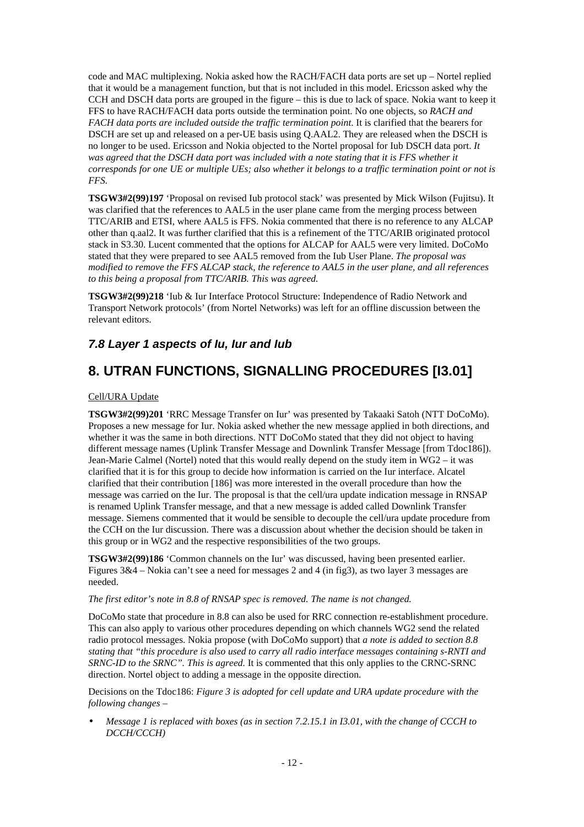code and MAC multiplexing. Nokia asked how the RACH/FACH data ports are set up – Nortel replied that it would be a management function, but that is not included in this model. Ericsson asked why the CCH and DSCH data ports are grouped in the figure – this is due to lack of space. Nokia want to keep it FFS to have RACH/FACH data ports outside the termination point. No one objects, so *RACH and FACH data ports are included outside the traffic termination point*. It is clarified that the bearers for DSCH are set up and released on a per-UE basis using Q.AAL2. They are released when the DSCH is no longer to be used. Ericsson and Nokia objected to the Nortel proposal for Iub DSCH data port. *It was agreed that the DSCH data port was included with a note stating that it is FFS whether it corresponds for one UE or multiple UEs; also whether it belongs to a traffic termination point or not is FFS.*

**TSGW3#2(99)197** 'Proposal on revised Iub protocol stack' was presented by Mick Wilson (Fujitsu). It was clarified that the references to AAL5 in the user plane came from the merging process between TTC/ARIB and ETSI, where AAL5 is FFS. Nokia commented that there is no reference to any ALCAP other than q.aal2. It was further clarified that this is a refinement of the TTC/ARIB originated protocol stack in S3.30. Lucent commented that the options for ALCAP for AAL5 were very limited. DoCoMo stated that they were prepared to see AAL5 removed from the Iub User Plane. *The proposal was modified to remove the FFS ALCAP stack, the reference to AAL5 in the user plane, and all references to this being a proposal from TTC/ARIB. This was agreed.*

**TSGW3#2(99)218** 'Iub & Iur Interface Protocol Structure: Independence of Radio Network and Transport Network protocols' (from Nortel Networks) was left for an offline discussion between the relevant editors.

#### *7.8 Layer 1 aspects of Iu, Iur and Iub*

### **8. UTRAN FUNCTIONS, SIGNALLING PROCEDURES [I3.01]**

#### Cell/URA Update

**TSGW3#2(99)201** 'RRC Message Transfer on Iur' was presented by Takaaki Satoh (NTT DoCoMo). Proposes a new message for Iur. Nokia asked whether the new message applied in both directions, and whether it was the same in both directions. NTT DoCoMo stated that they did not object to having different message names (Uplink Transfer Message and Downlink Transfer Message [from Tdoc186]). Jean-Marie Calmel (Nortel) noted that this would really depend on the study item in WG2 – it was clarified that it is for this group to decide how information is carried on the Iur interface. Alcatel clarified that their contribution [186] was more interested in the overall procedure than how the message was carried on the Iur. The proposal is that the cell/ura update indication message in RNSAP is renamed Uplink Transfer message, and that a new message is added called Downlink Transfer message. Siemens commented that it would be sensible to decouple the cell/ura update procedure from the CCH on the Iur discussion. There was a discussion about whether the decision should be taken in this group or in WG2 and the respective responsibilities of the two groups.

**TSGW3#2(99)186** 'Common channels on the Iur' was discussed, having been presented earlier. Figures 3&4 – Nokia can't see a need for messages 2 and 4 (in fig3), as two layer 3 messages are needed.

#### *The first editor's note in 8.8 of RNSAP spec is removed. The name is not changed.*

DoCoMo state that procedure in 8.8 can also be used for RRC connection re-establishment procedure. This can also apply to various other procedures depending on which channels WG2 send the related radio protocol messages. Nokia propose (with DoCoMo support) that *a note is added to section 8.8 stating that "this procedure is also used to carry all radio interface messages containing s-RNTI and SRNC-ID to the SRNC". This is agreed.* It is commented that this only applies to the CRNC-SRNC direction. Nortel object to adding a message in the opposite direction.

Decisions on the Tdoc186: *Figure 3 is adopted for cell update and URA update procedure with the following changes –*

*· Message 1 is replaced with boxes (as in section 7.2.15.1 in I3.01, with the change of CCCH to DCCH/CCCH)*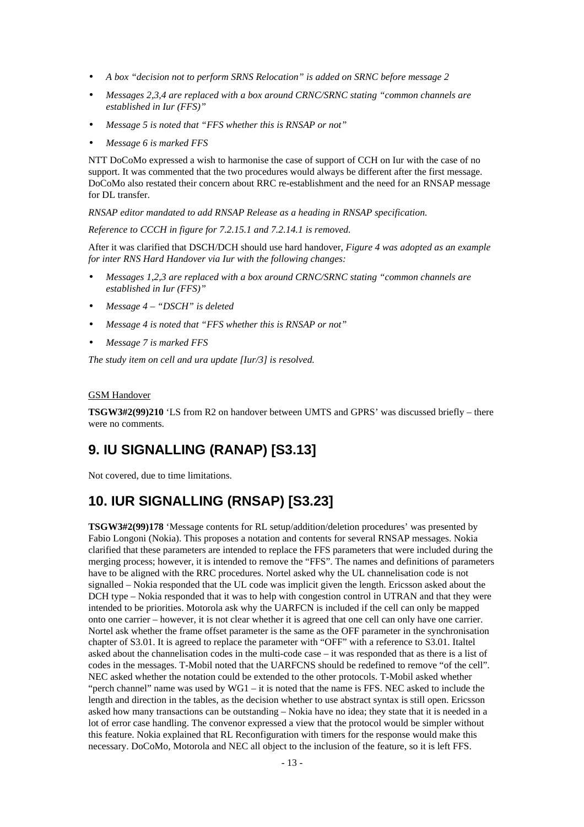- *· A box "decision not to perform SRNS Relocation" is added on SRNC before message 2*
- *· Messages 2,3,4 are replaced with a box around CRNC/SRNC stating "common channels are established in Iur (FFS)"*
- *· Message 5 is noted that "FFS whether this is RNSAP or not"*
- *· Message 6 is marked FFS*

NTT DoCoMo expressed a wish to harmonise the case of support of CCH on Iur with the case of no support. It was commented that the two procedures would always be different after the first message. DoCoMo also restated their concern about RRC re-establishment and the need for an RNSAP message for DL transfer.

*RNSAP editor mandated to add RNSAP Release as a heading in RNSAP specification.*

*Reference to CCCH in figure for 7.2.15.1 and 7.2.14.1 is removed.*

After it was clarified that DSCH/DCH should use hard handover, *Figure 4 was adopted as an example for inter RNS Hard Handover via Iur with the following changes:*

- *· Messages 1,2,3 are replaced with a box around CRNC/SRNC stating "common channels are established in Iur (FFS)"*
- *· Message 4 "DSCH" is deleted*
- *· Message 4 is noted that "FFS whether this is RNSAP or not"*
- *· Message 7 is marked FFS*

*The study item on cell and ura update [Iur/3] is resolved.*

#### GSM Handover

**TSGW3#2(99)210** 'LS from R2 on handover between UMTS and GPRS' was discussed briefly – there were no comments.

### **9. IU SIGNALLING (RANAP) [S3.13]**

Not covered, due to time limitations.

### **10. IUR SIGNALLING (RNSAP) [S3.23]**

**TSGW3#2(99)178** 'Message contents for RL setup/addition/deletion procedures' was presented by Fabio Longoni (Nokia). This proposes a notation and contents for several RNSAP messages. Nokia clarified that these parameters are intended to replace the FFS parameters that were included during the merging process; however, it is intended to remove the "FFS". The names and definitions of parameters have to be aligned with the RRC procedures. Nortel asked why the UL channelisation code is not signalled – Nokia responded that the UL code was implicit given the length. Ericsson asked about the DCH type – Nokia responded that it was to help with congestion control in UTRAN and that they were intended to be priorities. Motorola ask why the UARFCN is included if the cell can only be mapped onto one carrier – however, it is not clear whether it is agreed that one cell can only have one carrier. Nortel ask whether the frame offset parameter is the same as the OFF parameter in the synchronisation chapter of S3.01. It is agreed to replace the parameter with "OFF" with a reference to S3.01. Italtel asked about the channelisation codes in the multi-code case – it was responded that as there is a list of codes in the messages. T-Mobil noted that the UARFCNS should be redefined to remove "of the cell". NEC asked whether the notation could be extended to the other protocols. T-Mobil asked whether "perch channel" name was used by  $WG1 - it$  is noted that the name is FFS. NEC asked to include the length and direction in the tables, as the decision whether to use abstract syntax is still open. Ericsson asked how many transactions can be outstanding – Nokia have no idea; they state that it is needed in a lot of error case handling. The convenor expressed a view that the protocol would be simpler without this feature. Nokia explained that RL Reconfiguration with timers for the response would make this necessary. DoCoMo, Motorola and NEC all object to the inclusion of the feature, so it is left FFS.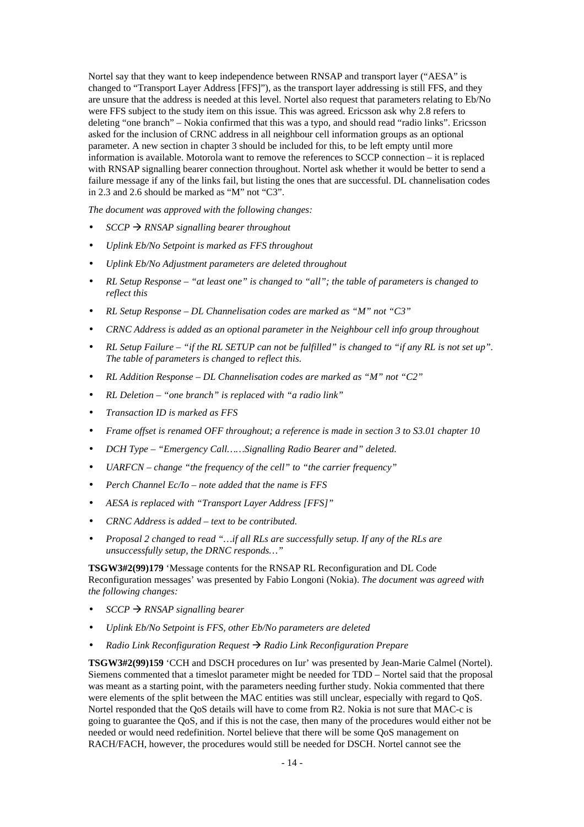Nortel say that they want to keep independence between RNSAP and transport layer ("AESA" is changed to "Transport Layer Address [FFS]"), as the transport layer addressing is still FFS, and they are unsure that the address is needed at this level. Nortel also request that parameters relating to Eb/No were FFS subject to the study item on this issue. This was agreed. Ericsson ask why 2.8 refers to deleting "one branch" – Nokia confirmed that this was a typo, and should read "radio links". Ericsson asked for the inclusion of CRNC address in all neighbour cell information groups as an optional parameter. A new section in chapter 3 should be included for this, to be left empty until more information is available. Motorola want to remove the references to SCCP connection – it is replaced with RNSAP signalling bearer connection throughout. Nortel ask whether it would be better to send a failure message if any of the links fail, but listing the ones that are successful. DL channelisation codes in 2.3 and 2.6 should be marked as "M" not "C3".

*The document was approved with the following changes:*

- $SCCP \rightarrow RNSAP$  signalling bearer throughout
- *· Uplink Eb/No Setpoint is marked as FFS throughout*
- *· Uplink Eb/No Adjustment parameters are deleted throughout*
- *· RL Setup Response "at least one" is changed to "all"; the table of parameters is changed to reflect this*
- *· RL Setup Response DL Channelisation codes are marked as "M" not "C3"*
- *· CRNC Address is added as an optional parameter in the Neighbour cell info group throughout*
- *· RL Setup Failure "if the RL SETUP can not be fulfilled" is changed to "if any RL is not set up". The table of parameters is changed to reflect this.*
- *· RL Addition Response DL Channelisation codes are marked as "M" not "C2"*
- *· RL Deletion "one branch" is replaced with "a radio link"*
- *· Transaction ID is marked as FFS*
- *· Frame offset is renamed OFF throughout; a reference is made in section 3 to S3.01 chapter 10*
- *· DCH Type "Emergency Call……Signalling Radio Bearer and" deleted.*
- *· UARFCN change "the frequency of the cell" to "the carrier frequency"*
- *· Perch Channel Ec/Io note added that the name is FFS*
- *· AESA is replaced with "Transport Layer Address [FFS]"*
- *· CRNC Address is added text to be contributed.*
- *· Proposal 2 changed to read "…if all RLs are successfully setup. If any of the RLs are unsuccessfully setup, the DRNC responds…"*

**TSGW3#2(99)179** 'Message contents for the RNSAP RL Reconfiguration and DL Code Reconfiguration messages' was presented by Fabio Longoni (Nokia). *The document was agreed with the following changes:*

- *· SCCP ‡ RNSAP signalling bearer*
- *· Uplink Eb/No Setpoint is FFS, other Eb/No parameters are deleted*
- *· Radio Link Reconfiguration Request ‡ Radio Link Reconfiguration Prepare*

**TSGW3#2(99)159** 'CCH and DSCH procedures on Iur' was presented by Jean-Marie Calmel (Nortel). Siemens commented that a timeslot parameter might be needed for TDD – Nortel said that the proposal was meant as a starting point, with the parameters needing further study. Nokia commented that there were elements of the split between the MAC entities was still unclear, especially with regard to QoS. Nortel responded that the QoS details will have to come from R2. Nokia is not sure that MAC-c is going to guarantee the QoS, and if this is not the case, then many of the procedures would either not be needed or would need redefinition. Nortel believe that there will be some QoS management on RACH/FACH, however, the procedures would still be needed for DSCH. Nortel cannot see the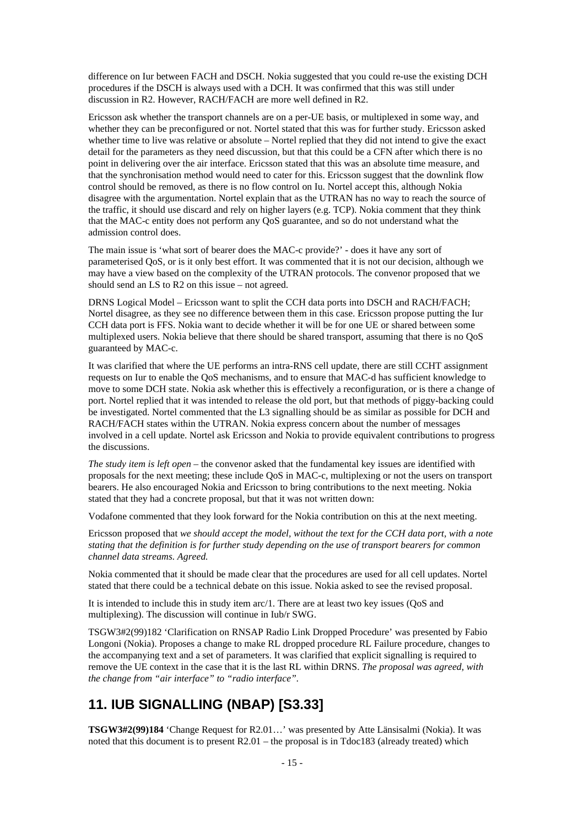difference on Iur between FACH and DSCH. Nokia suggested that you could re-use the existing DCH procedures if the DSCH is always used with a DCH. It was confirmed that this was still under discussion in R2. However, RACH/FACH are more well defined in R2.

Ericsson ask whether the transport channels are on a per-UE basis, or multiplexed in some way, and whether they can be preconfigured or not. Nortel stated that this was for further study. Ericsson asked whether time to live was relative or absolute – Nortel replied that they did not intend to give the exact detail for the parameters as they need discussion, but that this could be a CFN after which there is no point in delivering over the air interface. Ericsson stated that this was an absolute time measure, and that the synchronisation method would need to cater for this. Ericsson suggest that the downlink flow control should be removed, as there is no flow control on Iu. Nortel accept this, although Nokia disagree with the argumentation. Nortel explain that as the UTRAN has no way to reach the source of the traffic, it should use discard and rely on higher layers (e.g. TCP). Nokia comment that they think that the MAC-c entity does not perform any QoS guarantee, and so do not understand what the admission control does.

The main issue is 'what sort of bearer does the MAC-c provide?' - does it have any sort of parameterised QoS, or is it only best effort. It was commented that it is not our decision, although we may have a view based on the complexity of the UTRAN protocols. The convenor proposed that we should send an LS to R2 on this issue – not agreed.

DRNS Logical Model – Ericsson want to split the CCH data ports into DSCH and RACH/FACH; Nortel disagree, as they see no difference between them in this case. Ericsson propose putting the Iur CCH data port is FFS. Nokia want to decide whether it will be for one UE or shared between some multiplexed users. Nokia believe that there should be shared transport, assuming that there is no QoS guaranteed by MAC-c.

It was clarified that where the UE performs an intra-RNS cell update, there are still CCHT assignment requests on Iur to enable the QoS mechanisms, and to ensure that MAC-d has sufficient knowledge to move to some DCH state. Nokia ask whether this is effectively a reconfiguration, or is there a change of port. Nortel replied that it was intended to release the old port, but that methods of piggy-backing could be investigated. Nortel commented that the L3 signalling should be as similar as possible for DCH and RACH/FACH states within the UTRAN. Nokia express concern about the number of messages involved in a cell update. Nortel ask Ericsson and Nokia to provide equivalent contributions to progress the discussions.

*The study item is left open* – the convenor asked that the fundamental key issues are identified with proposals for the next meeting; these include QoS in MAC-c, multiplexing or not the users on transport bearers. He also encouraged Nokia and Ericsson to bring contributions to the next meeting. Nokia stated that they had a concrete proposal, but that it was not written down:

Vodafone commented that they look forward for the Nokia contribution on this at the next meeting.

Ericsson proposed that *we should accept the model, without the text for the CCH data port, with a note stating that the definition is for further study depending on the use of transport bearers for common channel data streams. Agreed.*

Nokia commented that it should be made clear that the procedures are used for all cell updates. Nortel stated that there could be a technical debate on this issue. Nokia asked to see the revised proposal.

It is intended to include this in study item arc/1. There are at least two key issues (QoS and multiplexing). The discussion will continue in Iub/r SWG.

TSGW3#2(99)182 'Clarification on RNSAP Radio Link Dropped Procedure' was presented by Fabio Longoni (Nokia). Proposes a change to make RL dropped procedure RL Failure procedure, changes to the accompanying text and a set of parameters. It was clarified that explicit signalling is required to remove the UE context in the case that it is the last RL within DRNS. *The proposal was agreed, with the change from "air interface" to "radio interface".*

### **11. IUB SIGNALLING (NBAP) [S3.33]**

**TSGW3#2(99)184** 'Change Request for R2.01…' was presented by Atte Länsisalmi (Nokia). It was noted that this document is to present R2.01 – the proposal is in Tdoc183 (already treated) which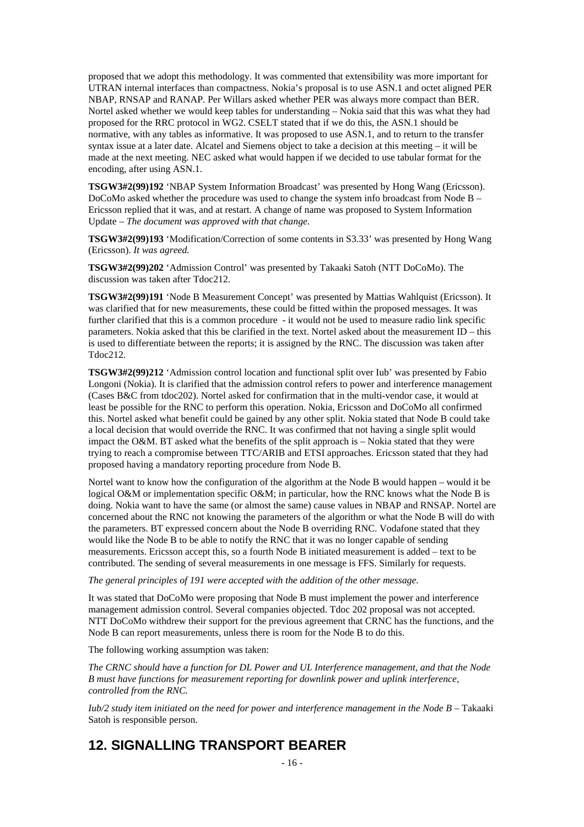proposed that we adopt this methodology. It was commented that extensibility was more important for UTRAN internal interfaces than compactness. Nokia's proposal is to use ASN.1 and octet aligned PER NBAP, RNSAP and RANAP. Per Willars asked whether PER was always more compact than BER. Nortel asked whether we would keep tables for understanding – Nokia said that this was what they had proposed for the RRC protocol in WG2. CSELT stated that if we do this, the ASN.1 should be normative, with any tables as informative. It was proposed to use ASN.1, and to return to the transfer syntax issue at a later date. Alcatel and Siemens object to take a decision at this meeting – it will be made at the next meeting. NEC asked what would happen if we decided to use tabular format for the encoding, after using ASN.1.

**TSGW3#2(99)192** 'NBAP System Information Broadcast' was presented by Hong Wang (Ericsson). DoCoMo asked whether the procedure was used to change the system info broadcast from Node B – Ericsson replied that it was, and at restart. A change of name was proposed to System Information Update – *The document was approved with that change.*

**TSGW3#2(99)193** 'Modification/Correction of some contents in S3.33' was presented by Hong Wang (Ericsson). *It was agreed.*

**TSGW3#2(99)202** 'Admission Control' was presented by Takaaki Satoh (NTT DoCoMo). The discussion was taken after Tdoc212.

**TSGW3#2(99)191** 'Node B Measurement Concept' was presented by Mattias Wahlquist (Ericsson). It was clarified that for new measurements, these could be fitted within the proposed messages. It was further clarified that this is a common procedure - it would not be used to measure radio link specific parameters. Nokia asked that this be clarified in the text. Nortel asked about the measurement ID – this is used to differentiate between the reports; it is assigned by the RNC. The discussion was taken after Tdoc212.

**TSGW3#2(99)212** 'Admission control location and functional split over Iub' was presented by Fabio Longoni (Nokia). It is clarified that the admission control refers to power and interference management (Cases B&C from tdoc202). Nortel asked for confirmation that in the multi-vendor case, it would at least be possible for the RNC to perform this operation. Nokia, Ericsson and DoCoMo all confirmed this. Nortel asked what benefit could be gained by any other split. Nokia stated that Node B could take a local decision that would override the RNC. It was confirmed that not having a single split would impact the O&M. BT asked what the benefits of the split approach is – Nokia stated that they were trying to reach a compromise between TTC/ARIB and ETSI approaches. Ericsson stated that they had proposed having a mandatory reporting procedure from Node B.

Nortel want to know how the configuration of the algorithm at the Node B would happen – would it be logical O&M or implementation specific O&M; in particular, how the RNC knows what the Node B is doing. Nokia want to have the same (or almost the same) cause values in NBAP and RNSAP. Nortel are concerned about the RNC not knowing the parameters of the algorithm or what the Node B will do with the parameters. BT expressed concern about the Node B overriding RNC. Vodafone stated that they would like the Node B to be able to notify the RNC that it was no longer capable of sending measurements. Ericsson accept this, so a fourth Node B initiated measurement is added – text to be contributed. The sending of several measurements in one message is FFS. Similarly for requests.

*The general principles of 191 were accepted with the addition of the other message.*

It was stated that DoCoMo were proposing that Node B must implement the power and interference management admission control. Several companies objected. Tdoc 202 proposal was not accepted. NTT DoCoMo withdrew their support for the previous agreement that CRNC has the functions, and the Node B can report measurements, unless there is room for the Node B to do this.

The following working assumption was taken:

*The CRNC should have a function for DL Power and UL Interference management, and that the Node B must have functions for measurement reporting for downlink power and uplink interference, controlled from the RNC.*

*Iub/2 study item initiated on the need for power and interference management in the Node B* – Takaaki Satoh is responsible person.

### **12. SIGNALLING TRANSPORT BEARER**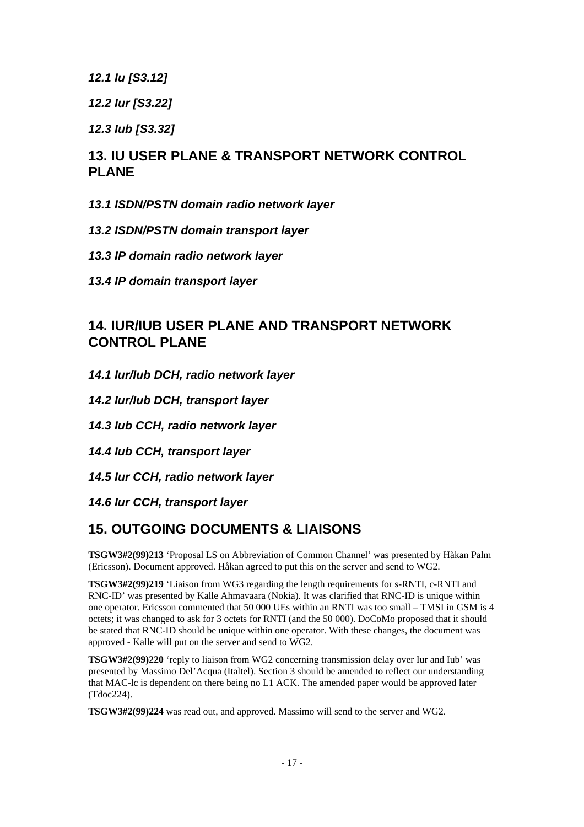*12.1 Iu [S3.12]*

*12.2 Iur [S3.22]*

*12.3 Iub [S3.32]*

### **13. IU USER PLANE & TRANSPORT NETWORK CONTROL PLANE**

- *13.1 ISDN/PSTN domain radio network layer*
- *13.2 ISDN/PSTN domain transport layer*
- *13.3 IP domain radio network layer*
- *13.4 IP domain transport layer*

### **14. IUR/IUB USER PLANE AND TRANSPORT NETWORK CONTROL PLANE**

- *14.1 Iur/Iub DCH, radio network layer*
- *14.2 Iur/Iub DCH, transport layer*
- *14.3 Iub CCH, radio network layer*
- *14.4 Iub CCH, transport layer*
- *14.5 Iur CCH, radio network layer*
- *14.6 Iur CCH, transport layer*

### **15. OUTGOING DOCUMENTS & LIAISONS**

**TSGW3#2(99)213** 'Proposal LS on Abbreviation of Common Channel' was presented by Håkan Palm (Ericsson). Document approved. Håkan agreed to put this on the server and send to WG2.

**TSGW3#2(99)219** 'Liaison from WG3 regarding the length requirements for s-RNTI, c-RNTI and RNC-ID' was presented by Kalle Ahmavaara (Nokia). It was clarified that RNC-ID is unique within one operator. Ericsson commented that 50 000 UEs within an RNTI was too small – TMSI in GSM is 4 octets; it was changed to ask for 3 octets for RNTI (and the 50 000). DoCoMo proposed that it should be stated that RNC-ID should be unique within one operator. With these changes, the document was approved - Kalle will put on the server and send to WG2.

**TSGW3#2(99)220** 'reply to liaison from WG2 concerning transmission delay over Iur and Iub' was presented by Massimo Del'Acqua (Italtel). Section 3 should be amended to reflect our understanding that MAC-lc is dependent on there being no L1 ACK. The amended paper would be approved later (Tdoc224).

**TSGW3#2(99)224** was read out, and approved. Massimo will send to the server and WG2.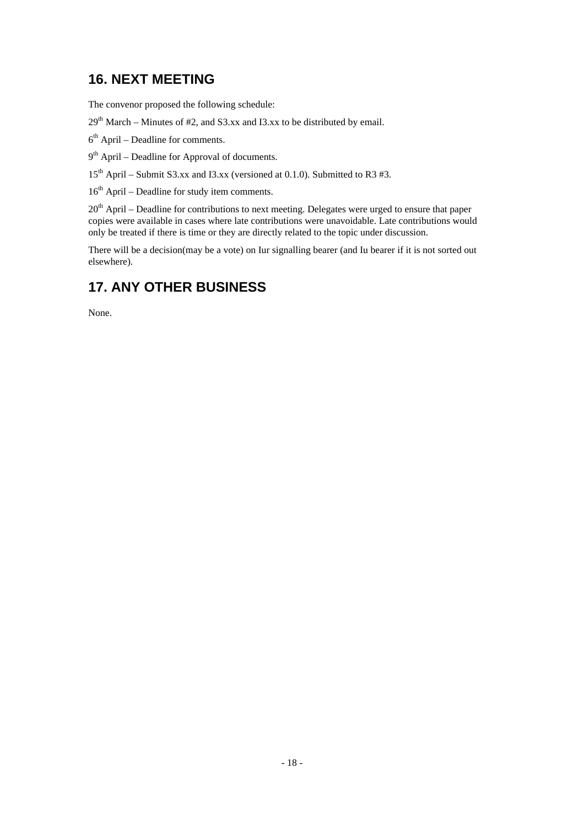### **16. NEXT MEETING**

The convenor proposed the following schedule:

 $29<sup>th</sup> March - Minutes of #2, and S3.xx and I3.xx to be distributed by email.$ 

 $6<sup>th</sup>$  April – Deadline for comments.

9<sup>th</sup> April – Deadline for Approval of documents.

 $15<sup>th</sup>$  April – Submit S3.xx and I3.xx (versioned at 0.1.0). Submitted to R3 #3.

16<sup>th</sup> April – Deadline for study item comments.

20<sup>th</sup> April – Deadline for contributions to next meeting. Delegates were urged to ensure that paper copies were available in cases where late contributions were unavoidable. Late contributions would only be treated if there is time or they are directly related to the topic under discussion.

There will be a decision(may be a vote) on Iur signalling bearer (and Iu bearer if it is not sorted out elsewhere).

# **17. ANY OTHER BUSINESS**

None.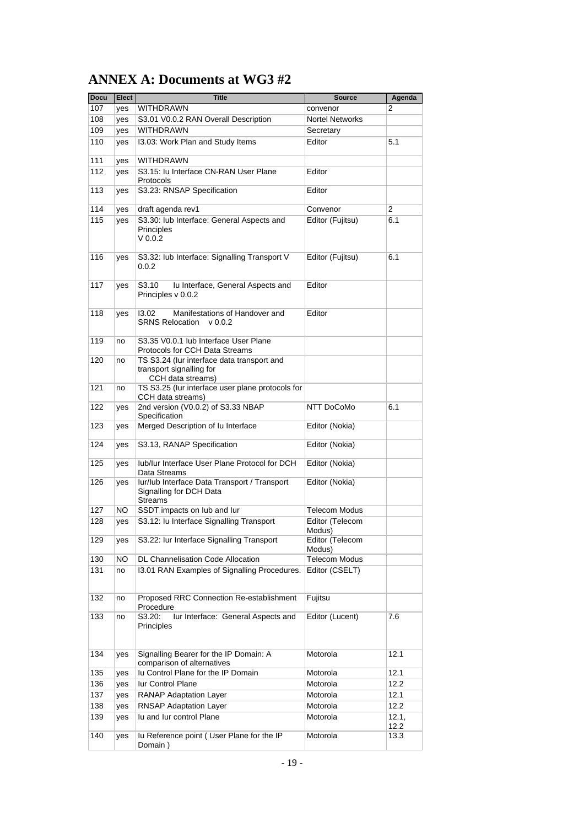# **ANNEX A: Documents at WG3 #2**

| <b>Docu</b> | <b>Elect</b> | <b>Title</b>                                                                                | <b>Source</b>             | Agenda        |
|-------------|--------------|---------------------------------------------------------------------------------------------|---------------------------|---------------|
| 107         | yes          | WITHDRAWN                                                                                   | convenor                  | 2             |
| 108         | yes          | S3.01 V0.0.2 RAN Overall Description                                                        | <b>Nortel Networks</b>    |               |
| 109         | yes          | <b>WITHDRAWN</b>                                                                            | Secretary                 |               |
| 110         | yes          | 13.03: Work Plan and Study Items                                                            | Editor                    | 5.1           |
| 111         | yes          | WITHDRAWN                                                                                   |                           |               |
| 112         | yes          | S3.15: Iu Interface CN-RAN User Plane<br>Protocols                                          | Editor                    |               |
| 113         | yes          | S3.23: RNSAP Specification                                                                  | Editor                    |               |
| 114         | yes          | draft agenda rev1                                                                           | Convenor                  | 2             |
| 115         | yes          | S3.30: lub Interface: General Aspects and<br>Principles<br>$V$ 0.0.2                        | Editor (Fujitsu)          | 6.1           |
| 116         | yes          | S3.32: Iub Interface: Signalling Transport V<br>0.0.2                                       | Editor (Fujitsu)          | 6.1           |
| 117         | yes          | S3.10<br>Iu Interface, General Aspects and<br>Principles v 0.0.2                            | Editor                    |               |
| 118         | yes          | Manifestations of Handover and<br>13.02<br><b>SRNS Relocation</b><br>V 0.0.2                | Editor                    |               |
| 119         | no           | S3.35 V0.0.1 lub Interface User Plane<br>Protocols for CCH Data Streams                     |                           |               |
| 120         | no           | TS S3.24 (lur interface data transport and<br>transport signalling for<br>CCH data streams) |                           |               |
| 121         | no           | TS S3.25 (lur interface user plane protocols for<br>CCH data streams)                       |                           |               |
| 122         | yes          | 2nd version (V0.0.2) of S3.33 NBAP<br>Specification                                         | NTT DoCoMo                | 6.1           |
| 123         | yes          | Merged Description of Iu Interface                                                          | Editor (Nokia)            |               |
| 124         | yes          | S3.13, RANAP Specification                                                                  | Editor (Nokia)            |               |
| 125         | yes          | lub/lur Interface User Plane Protocol for DCH<br>Data Streams                               | Editor (Nokia)            |               |
| 126         | yes          | Iur/Iub Interface Data Transport / Transport<br>Signalling for DCH Data<br><b>Streams</b>   | Editor (Nokia)            |               |
| 127         | NO.          | SSDT impacts on lub and lur                                                                 | <b>Telecom Modus</b>      |               |
| 128         | yes          | S3.12: Iu Interface Signalling Transport                                                    | Editor (Telecom<br>Modus) |               |
| 129         | yes          | S3.22: Iur Interface Signalling Transport                                                   | Editor (Telecom<br>Modus) |               |
| 130         | ΝO           | DL Channelisation Code Allocation                                                           | <b>Telecom Modus</b>      |               |
| 131         | no           | I3.01 RAN Examples of Signalling Procedures.                                                | Editor (CSELT)            |               |
| 132         | no           | Proposed RRC Connection Re-establishment<br>Procedure                                       | Fujitsu                   |               |
| 133         | no           | S3.20:<br>lur Interface: General Aspects and<br>Principles                                  | Editor (Lucent)           | 7.6           |
| 134         | yes          | Signalling Bearer for the IP Domain: A<br>comparison of alternatives                        | Motorola                  | 12.1          |
| 135         | yes          | Iu Control Plane for the IP Domain                                                          | Motorola                  | 12.1          |
| 136         | yes          | lur Control Plane                                                                           | Motorola                  | 12.2          |
| 137         | yes          | RANAP Adaptation Layer                                                                      | Motorola                  | 12.1          |
| 138         | yes          | RNSAP Adaptation Layer                                                                      | Motorola                  | 12.2          |
| 139         | yes          | lu and lur control Plane                                                                    | Motorola                  | 12.1,<br>12.2 |
| 140         | yes          | Iu Reference point (User Plane for the IP<br>Domain)                                        | Motorola                  | 13.3          |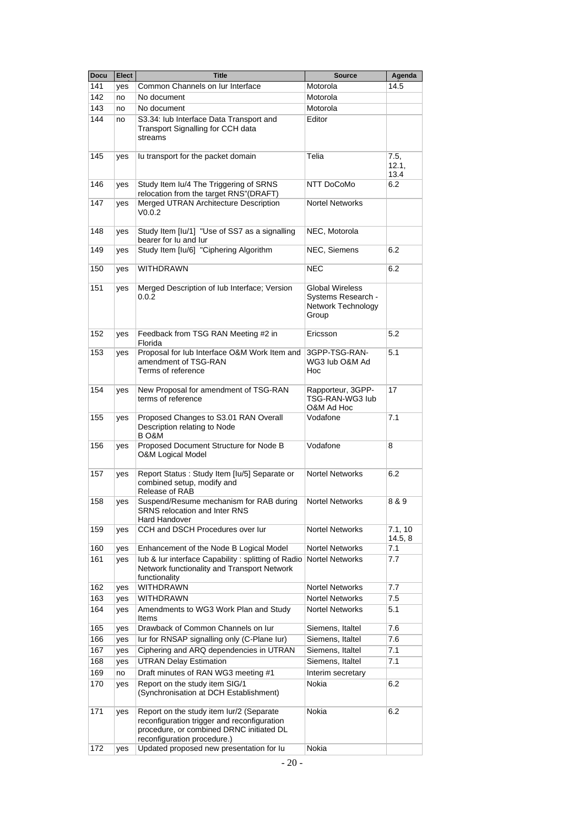| <b>Docu</b> | Elect | <b>Title</b>                                                                                                                                                       | <b>Source</b>                                                               | Agenda                |
|-------------|-------|--------------------------------------------------------------------------------------------------------------------------------------------------------------------|-----------------------------------------------------------------------------|-----------------------|
| 141         | yes   | Common Channels on Jur Interface                                                                                                                                   | Motorola                                                                    | 14.5                  |
| 142         | no    | No document                                                                                                                                                        | Motorola                                                                    |                       |
| 143         | no    | No document                                                                                                                                                        | Motorola                                                                    |                       |
| 144         | no    | S3.34: lub Interface Data Transport and                                                                                                                            | Editor                                                                      |                       |
|             |       | Transport Signalling for CCH data<br>streams                                                                                                                       |                                                                             |                       |
| 145         | yes   | lu transport for the packet domain                                                                                                                                 | Telia                                                                       | 7.5,<br>12.1,<br>13.4 |
| 146         | yes   | Study Item Iu/4 The Triggering of SRNS<br>relocation from the target RNS"(DRAFT)                                                                                   | NTT DoCoMo                                                                  | 6.2                   |
| 147         | yes   | Merged UTRAN Architecture Description<br>V0.0.2                                                                                                                    | <b>Nortel Networks</b>                                                      |                       |
| 148         | yes   | Study Item [Iu/1] "Use of SS7 as a signalling<br>bearer for lu and lur                                                                                             | NEC, Motorola                                                               |                       |
| 149         | yes   | Study Item [lu/6] "Ciphering Algorithm                                                                                                                             | NEC, Siemens                                                                | 6.2                   |
| 150         | yes   | WITHDRAWN                                                                                                                                                          | <b>NEC</b>                                                                  | 6.2                   |
| 151         | yes   | Merged Description of lub Interface; Version<br>0.0.2                                                                                                              | <b>Global Wireless</b><br>Systems Research -<br>Network Technology<br>Group |                       |
| 152         | yes   | Feedback from TSG RAN Meeting #2 in<br>Florida                                                                                                                     | Ericsson                                                                    | 5.2                   |
| 153         | yes   | Proposal for lub Interface O&M Work Item and<br>amendment of TSG-RAN<br>Terms of reference                                                                         | 3GPP-TSG-RAN-<br>WG3 lub O&M Ad<br>Hoc                                      | 5.1                   |
| 154         | yes   | New Proposal for amendment of TSG-RAN<br>terms of reference                                                                                                        | Rapporteur, 3GPP-<br>TSG-RAN-WG3 lub<br>O&M Ad Hoc                          | 17                    |
| 155         | yes   | Proposed Changes to S3.01 RAN Overall<br>Description relating to Node<br>B O&M                                                                                     | Vodafone                                                                    | 7.1                   |
| 156         | yes   | Proposed Document Structure for Node B<br><b>O&amp;M Logical Model</b>                                                                                             | Vodafone                                                                    | 8                     |
| 157         | yes   | <b>Nortel Networks</b><br>Report Status: Study Item [Iu/5] Separate or<br>combined setup, modify and<br>Release of RAB                                             |                                                                             | 6.2                   |
| 158         | yes   | Suspend/Resume mechanism for RAB during<br><b>Nortel Networks</b><br>SRNS relocation and Inter RNS<br>Hard Handover                                                |                                                                             | 8 & 9                 |
| 159         | yes   | CCH and DSCH Procedures over lur                                                                                                                                   | <b>Nortel Networks</b>                                                      | 7.1, 10<br>14.5, 8    |
| 160         | yes   | Enhancement of the Node B Logical Model                                                                                                                            | <b>Nortel Networks</b>                                                      | 7.1                   |
| 161         | yes   | lub & lur interface Capability: splitting of Radio<br>Network functionality and Transport Network<br>functionality                                                 | <b>Nortel Networks</b>                                                      | 7.7                   |
| 162         | yes   | WITHDRAWN                                                                                                                                                          | <b>Nortel Networks</b>                                                      | 7.7                   |
| 163         | yes   | <b>WITHDRAWN</b>                                                                                                                                                   | <b>Nortel Networks</b>                                                      | 7.5                   |
| 164         | yes   | Amendments to WG3 Work Plan and Study<br>Items                                                                                                                     | <b>Nortel Networks</b>                                                      | 5.1                   |
| 165         | yes   | Drawback of Common Channels on lur                                                                                                                                 | Siemens, Italtel                                                            | 7.6                   |
| 166         | yes   | lur for RNSAP signalling only (C-Plane lur)                                                                                                                        | Siemens, Italtel                                                            | 7.6                   |
| 167         | yes   | Ciphering and ARQ dependencies in UTRAN                                                                                                                            | Siemens, Italtel                                                            | 7.1                   |
| 168         | yes   | <b>UTRAN Delay Estimation</b>                                                                                                                                      | Siemens, Italtel                                                            | 7.1                   |
| 169         | no    | Draft minutes of RAN WG3 meeting #1                                                                                                                                | Interim secretary                                                           |                       |
| 170         | yes   | Report on the study item SIG/1<br>(Synchronisation at DCH Establishment)                                                                                           | Nokia                                                                       | 6.2                   |
| 171         | yes   | Report on the study item lur/2 (Separate<br>reconfiguration trigger and reconfiguration<br>procedure, or combined DRNC initiated DL<br>reconfiguration procedure.) | Nokia                                                                       | 6.2                   |
| 172         | yes   | Updated proposed new presentation for lu                                                                                                                           | Nokia                                                                       |                       |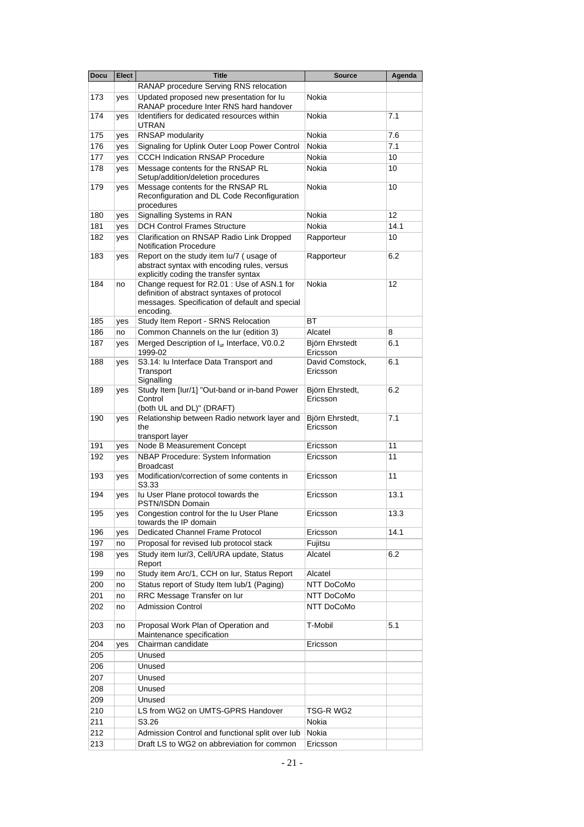| <b>Docu</b> | <b>Elect</b> | <b>Title</b>                                                                                                                                              | <b>Source</b>               | Agenda |
|-------------|--------------|-----------------------------------------------------------------------------------------------------------------------------------------------------------|-----------------------------|--------|
|             |              | RANAP procedure Serving RNS relocation                                                                                                                    |                             |        |
| 173         | yes          | Updated proposed new presentation for lu<br>RANAP procedure Inter RNS hard handover                                                                       | Nokia                       |        |
| 174         | yes          | Identifiers for dedicated resources within<br><b>UTRAN</b>                                                                                                | Nokia                       | 7.1    |
| 175         | yes          | RNSAP modularity                                                                                                                                          | Nokia                       | 7.6    |
| 176         | yes          | Signaling for Uplink Outer Loop Power Control                                                                                                             | <b>Nokia</b>                | 7.1    |
| 177         | yes          | <b>CCCH Indication RNSAP Procedure</b>                                                                                                                    | Nokia                       | 10     |
| 178         | yes          | Message contents for the RNSAP RL<br>Setup/addition/deletion procedures                                                                                   | Nokia                       | 10     |
| 179         | yes          | Message contents for the RNSAP RL<br>Reconfiguration and DL Code Reconfiguration<br>procedures                                                            | Nokia                       | 10     |
| 180         | yes          | Signalling Systems in RAN                                                                                                                                 | Nokia                       | 12     |
| 181         | yes          | <b>DCH Control Frames Structure</b>                                                                                                                       | Nokia                       | 14.1   |
| 182         | yes          | Clarification on RNSAP Radio Link Dropped<br><b>Notification Procedure</b>                                                                                | Rapporteur                  | 10     |
| 183         | yes          | Report on the study item lu/7 (usage of<br>abstract syntax with encoding rules, versus<br>explicitly coding the transfer syntax                           | Rapporteur                  | 6.2    |
| 184         | no           | Change request for R2.01 : Use of ASN.1 for<br>definition of abstract syntaxes of protocol<br>messages. Specification of default and special<br>encoding. | Nokia                       | 12     |
| 185         | yes          | Study Item Report - SRNS Relocation                                                                                                                       | ВT                          |        |
| 186         | no           | Common Channels on the lur (edition 3)                                                                                                                    | Alcatel                     | 8      |
| 187         | yes          | Merged Description of Iur Interface, V0.0.2<br>1999-02                                                                                                    | Björn Ehrstedt<br>Ericsson  | 6.1    |
| 188         | yes          | S3.14: Iu Interface Data Transport and<br>Transport<br>Signalling                                                                                         | David Comstock,<br>Ericsson | 6.1    |
| 189         | yes          | Study Item [lur/1] "Out-band or in-band Power<br>Control<br>(both UL and DL)" (DRAFT)                                                                     | Björn Ehrstedt,<br>Ericsson | 6.2    |
| 190         | yes          | Relationship between Radio network layer and<br>the<br>transport layer                                                                                    | Björn Ehrstedt,<br>Ericsson | 7.1    |
| 191         | yes          | Node B Measurement Concept                                                                                                                                | Ericsson                    | 11     |
| 192         | yes          | NBAP Procedure: System Information<br><b>Broadcast</b>                                                                                                    | Ericsson                    | 11     |
| 193         | yes          | Modification/correction of some contents in<br>S3.33                                                                                                      | Ericsson                    | 11     |
| 194         | yes          | Iu User Plane protocol towards the<br>PSTN/ISDN Domain                                                                                                    | Ericsson                    | 13.1   |
| 195         | yes          | Congestion control for the Iu User Plane<br>towards the IP domain                                                                                         | Ericsson                    | 13.3   |
| 196         | yes          | Dedicated Channel Frame Protocol                                                                                                                          | Ericsson                    | 14.1   |
| 197         | no           | Proposal for revised lub protocol stack                                                                                                                   | Fujitsu                     |        |
| 198         | yes          | Study item Iur/3, Cell/URA update, Status<br>Report                                                                                                       | Alcatel                     | 6.2    |
| 199         | no           | Study item Arc/1, CCH on lur, Status Report                                                                                                               | Alcatel                     |        |
| 200         | no           | Status report of Study Item Iub/1 (Paging)                                                                                                                | NTT DoCoMo                  |        |
| 201         | no           | RRC Message Transfer on lur                                                                                                                               | NTT DoCoMo                  |        |
| 202         | no           | <b>Admission Control</b>                                                                                                                                  | NTT DoCoMo                  |        |
| 203         | no           | Proposal Work Plan of Operation and<br>Maintenance specification                                                                                          | T-Mobil                     | 5.1    |
| 204         | yes          | Chairman candidate                                                                                                                                        | Ericsson                    |        |
| 205         |              | Unused                                                                                                                                                    |                             |        |
| 206         |              | Unused                                                                                                                                                    |                             |        |
| 207         |              | Unused                                                                                                                                                    |                             |        |
| 208         |              | Unused                                                                                                                                                    |                             |        |
| 209         |              | Unused                                                                                                                                                    |                             |        |
| 210         |              | LS from WG2 on UMTS-GPRS Handover                                                                                                                         | TSG-R WG2                   |        |
| 211         |              | S3.26                                                                                                                                                     | Nokia                       |        |
| 212         |              | Admission Control and functional split over lub                                                                                                           | Nokia                       |        |
| 213         |              | Draft LS to WG2 on abbreviation for common                                                                                                                | Ericsson                    |        |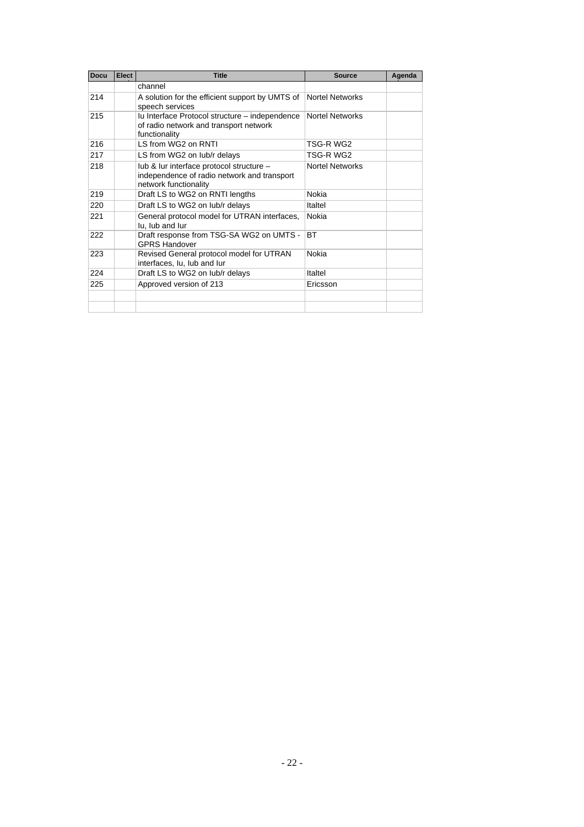| <b>Docu</b> | Elect                                      | <b>Title</b>                                                                                                                        | <b>Source</b>          | Agenda |
|-------------|--------------------------------------------|-------------------------------------------------------------------------------------------------------------------------------------|------------------------|--------|
|             |                                            | channel                                                                                                                             |                        |        |
| 214         |                                            | A solution for the efficient support by UMTS of<br>speech services                                                                  | Nortel Networks        |        |
| 215         |                                            | lu Interface Protocol structure - independence<br><b>Nortel Networks</b><br>of radio network and transport network<br>functionality |                        |        |
| 216         |                                            | LS from WG2 on RNTI                                                                                                                 | TSG-R WG2              |        |
| 217         | TSG-R WG2<br>LS from WG2 on lub/r delays   |                                                                                                                                     |                        |        |
| 218         |                                            | lub & lur interface protocol structure -<br>independence of radio network and transport<br>network functionality                    | <b>Nortel Networks</b> |        |
| 219         |                                            | Draft LS to WG2 on RNTI lengths                                                                                                     | Nokia                  |        |
| 220         | Draft LS to WG2 on lub/r delays<br>Italtel |                                                                                                                                     |                        |        |
| 221         |                                            | General protocol model for UTRAN interfaces,<br>lu, lub and lur                                                                     | Nokia                  |        |
| 222         |                                            | Draft response from TSG-SA WG2 on UMTS -<br><b>GPRS Handover</b>                                                                    | <b>BT</b>              |        |
| 223         |                                            | Revised General protocol model for UTRAN<br>interfaces, lu, lub and lur                                                             | Nokia                  |        |
| 224         |                                            | Draft LS to WG2 on lub/r delays                                                                                                     | Italtel                |        |
| 225         |                                            | Approved version of 213                                                                                                             | Ericsson               |        |
|             |                                            |                                                                                                                                     |                        |        |
|             |                                            |                                                                                                                                     |                        |        |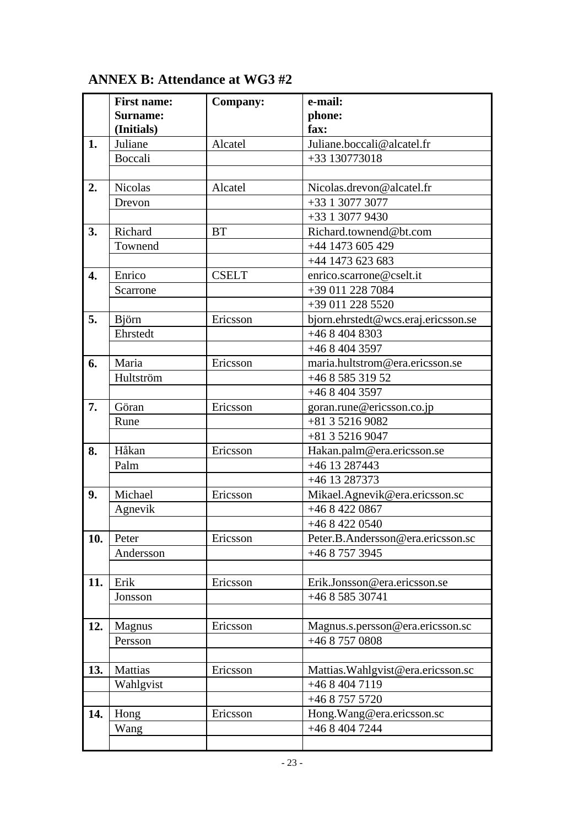# **ANNEX B: Attendance at WG3 #2**

|     | <b>First name:</b> | <b>Company:</b> | e-mail:                             |
|-----|--------------------|-----------------|-------------------------------------|
|     | Surname:           |                 | phone:                              |
|     | (Initials)         |                 | fax:                                |
| 1.  | Juliane            | Alcatel         | Juliane.boccali@alcatel.fr          |
|     | Boccali            |                 | +33 130773018                       |
|     |                    |                 |                                     |
| 2.  | <b>Nicolas</b>     | Alcatel         | Nicolas.drevon@alcatel.fr           |
|     | Drevon             |                 | +33 1 3077 3077                     |
|     |                    |                 | $+33$ 1 3077 9430                   |
| 3.  | Richard            | <b>BT</b>       | Richard.townend@bt.com              |
|     | Townend            |                 | $+44$ 1473 605 429                  |
|     |                    |                 | +44 1473 623 683                    |
| 4.  | Enrico             | <b>CSELT</b>    | enrico.scarrone@cselt.it            |
|     | Scarrone           |                 | +39 011 228 7084                    |
|     |                    |                 | +39 011 228 5520                    |
| 5.  | <b>B</b> jörn      | Ericsson        | bjorn.ehrstedt@wcs.eraj.ericsson.se |
|     | Ehrstedt           |                 | $+4684048303$                       |
|     |                    |                 | $+4684043597$                       |
| 6.  | Maria              | Ericsson        | maria.hultstrom@era.ericsson.se     |
|     | Hultström          |                 | +46 8 585 319 52                    |
|     |                    |                 | $+4684043597$                       |
| 7.  | Göran              | Ericsson        | goran.rune@ericsson.co.jp           |
|     | Rune               |                 | +81 3 5216 9082                     |
|     |                    |                 | +81 3 5216 9047                     |
| 8.  | Håkan              | Ericsson        | Hakan.palm@era.ericsson.se          |
|     | Palm               |                 | +46 13 287443                       |
|     |                    |                 | +46 13 287373                       |
| 9.  | Michael            | Ericsson        | Mikael.Agnevik@era.ericsson.sc      |
|     | Agnevik            |                 | +46 8 422 0867                      |
|     |                    |                 | +46 8 422 0540                      |
| 10. | Peter              | Ericsson        | Peter.B.Andersson@era.ericsson.sc   |
|     | Andersson          |                 | +46 8 757 3945                      |
|     |                    |                 |                                     |
| 11. | Erik               | Ericsson        | Erik.Jonsson@era.ericsson.se        |
|     | Jonsson            |                 | +46 8 585 30741                     |
|     |                    |                 |                                     |
| 12. | Magnus             | Ericsson        | Magnus.s.persson@era.ericsson.sc    |
|     | Persson            |                 | +46 8 757 0808                      |
|     |                    |                 |                                     |
| 13. | Mattias            | Ericsson        | Mattias. Wahlgvist@era.ericsson.sc  |
|     | Wahlgvist          |                 | +46 8 404 7119                      |
|     |                    |                 | +46 8 757 5720                      |
| 14. | Hong               | Ericsson        | Hong. Wang@era.ericsson.sc          |
|     | Wang               |                 | +46 8 404 7244                      |
|     |                    |                 |                                     |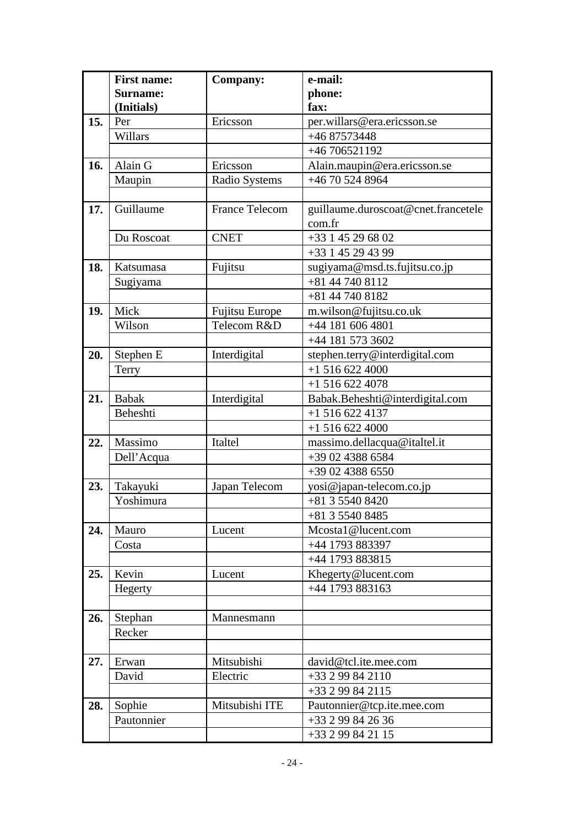|     | <b>First name:</b> | <b>Company:</b>       | e-mail:                             |
|-----|--------------------|-----------------------|-------------------------------------|
|     | <b>Surname:</b>    |                       | phone:                              |
|     | (Initials)         |                       | fax:                                |
| 15. | Per                | Ericsson              | per.willars@era.ericsson.se         |
|     | Willars            |                       | +46 87573448                        |
|     |                    |                       | +46 706521192                       |
| 16. | Alain G            | Ericsson              | Alain.maupin@era.ericsson.se        |
|     | Maupin             | Radio Systems         | +46 70 524 8964                     |
|     |                    |                       |                                     |
| 17. | Guillaume          | <b>France Telecom</b> | guillaume.duroscoat@cnet.francetele |
|     |                    |                       | com.fr                              |
|     | Du Roscoat         | <b>CNET</b>           | +33 1 45 29 68 02                   |
|     |                    |                       | +33 1 45 29 43 99                   |
| 18. | Katsumasa          | Fujitsu               | sugiyama@msd.ts.fujitsu.co.jp       |
|     | Sugiyama           |                       | +81 44 740 8112                     |
|     |                    |                       | +81 44 740 8182                     |
| 19. | Mick               | <b>Fujitsu Europe</b> | m.wilson@fujitsu.co.uk              |
|     | Wilson             | Telecom R&D           | +44 181 606 4801                    |
|     |                    |                       | +44 181 573 3602                    |
| 20. | Stephen E          | Interdigital          | stephen.terry@interdigital.com      |
|     | Terry              |                       | $+15166224000$                      |
|     |                    |                       | $+15166224078$                      |
| 21. | <b>Babak</b>       | Interdigital          | Babak.Beheshti@interdigital.com     |
|     | Beheshti           |                       | $+15166224137$                      |
|     |                    |                       | $+15166224000$                      |
| 22. | Massimo            | Italtel               | massimo.dellacqua@italtel.it        |
|     | Dell'Acqua         |                       | +39 02 4388 6584                    |
|     |                    |                       | +39 02 4388 6550                    |
| 23. | Takayuki           | Japan Telecom         | yosi@japan-telecom.co.jp            |
|     | Yoshimura          |                       | +81 3 5540 8420                     |
|     |                    |                       | +81 3 5540 8485                     |
| 24. | Mauro              | Lucent                | Mcostal@lucent.com                  |
|     | Costa              |                       | +44 1793 883397                     |
|     |                    |                       | +44 1793 883815                     |
| 25. | Kevin              | Lucent                | Khegerty@lucent.com                 |
|     | Hegerty            |                       | +44 1793 883163                     |
|     |                    |                       |                                     |
| 26. | Stephan            | Mannesmann            |                                     |
|     | Recker             |                       |                                     |
|     |                    |                       |                                     |
| 27. | Erwan              | Mitsubishi            | david@tcl.ite.mee.com               |
|     | David              | Electric              | +33 2 99 84 2110                    |
|     |                    |                       | +33 2 99 84 2115                    |
| 28. | Sophie             | Mitsubishi ITE        | Pautonnier@tcp.ite.mee.com          |
|     | Pautonnier         |                       | +33 2 99 84 26 36                   |
|     |                    |                       | +33 2 99 84 21 15                   |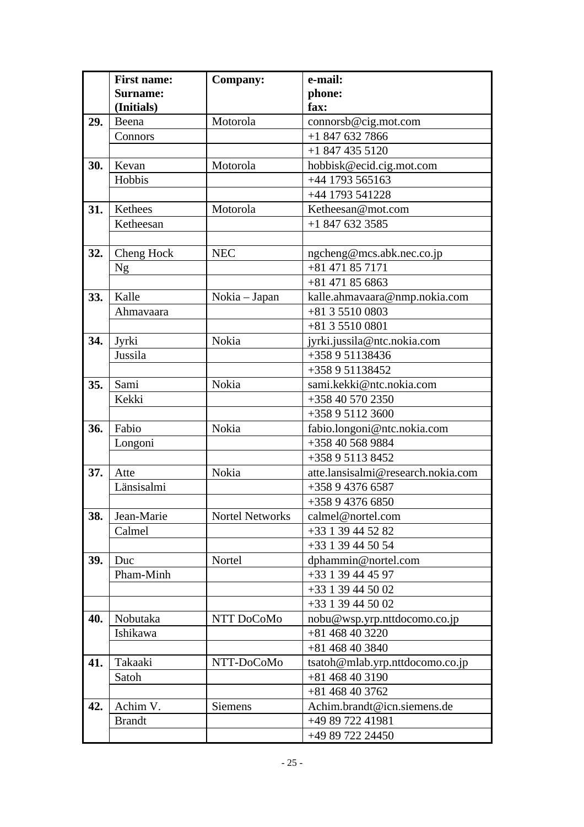|     | <b>First name:</b> | <b>Company:</b>        | e-mail:                            |
|-----|--------------------|------------------------|------------------------------------|
|     | <b>Surname:</b>    |                        | phone:                             |
|     | (Initials)         |                        | fax:                               |
| 29. | Beena              | Motorola               | connorsb@cig.mot.com               |
|     | Connors            |                        | $+18476327866$                     |
|     |                    |                        | $+18474355120$                     |
| 30. | Kevan              | Motorola               | hobbisk@ecid.cig.mot.com           |
|     | Hobbis             |                        | +44 1793 565163                    |
|     |                    |                        | +44 1793 541228                    |
| 31. | Kethees            | Motorola               | Ketheesan@mot.com                  |
|     | Ketheesan          |                        | $+18476323585$                     |
|     |                    |                        |                                    |
| 32. | Cheng Hock         | <b>NEC</b>             | ngcheng@mcs.abk.nec.co.jp          |
|     | <b>Ng</b>          |                        | $+81471857171$                     |
|     |                    |                        | $+81471856863$                     |
| 33. | Kalle              | Nokia – Japan          | kalle.ahmavaara@nmp.nokia.com      |
|     | Ahmavaara          |                        | +81 3 5510 0803                    |
|     |                    |                        | $+81355100801$                     |
| 34. | Jyrki              | Nokia                  | jyrki.jussila@ntc.nokia.com        |
|     | Jussila            |                        | +358 9 51138436                    |
|     |                    |                        | +358 9 51138452                    |
| 35. | Sami               | Nokia                  | sami.kekki@ntc.nokia.com           |
|     | Kekki              |                        | +358 40 570 2350                   |
|     |                    |                        | +358 9 5112 3600                   |
| 36. | Fabio              | Nokia                  | fabio.longoni@ntc.nokia.com        |
|     | Longoni            |                        | +358 40 568 9884                   |
|     |                    |                        | +358 9 5113 8452                   |
| 37. | Atte               | Nokia                  | atte.lansisalmi@research.nokia.com |
|     | Länsisalmi         |                        | +358 9 4376 6587                   |
|     |                    |                        | +358 9 4376 6850                   |
| 38. | Jean-Marie         | <b>Nortel Networks</b> | calmel@nortel.com                  |
|     | Calmel             |                        | +33 1 39 44 52 82                  |
|     |                    |                        | +33 1 39 44 50 54                  |
| 39. | Duc                | Nortel                 | dphammin@nortel.com                |
|     | Pham-Minh          |                        | +33 1 39 44 45 97                  |
|     |                    |                        | +33 1 39 44 50 02                  |
|     |                    |                        | +33 1 39 44 50 02                  |
| 40. | Nobutaka           | NTT DoCoMo             | nobu@wsp.yrp.nttdocomo.co.jp       |
|     | Ishikawa           |                        | +81 468 40 3220                    |
|     |                    |                        | +81 468 40 3840                    |
| 41. | Takaaki            | NTT-DoCoMo             | tsatoh@mlab.yrp.nttdocomo.co.jp    |
|     | Satoh              |                        | $+81468403190$                     |
|     |                    |                        | $+81468403762$                     |
| 42. | Achim V.           | <b>Siemens</b>         | Achim.brandt@icn.siemens.de        |
|     | <b>Brandt</b>      |                        | +49 89 722 41981                   |
|     |                    |                        | +49 89 722 24450                   |